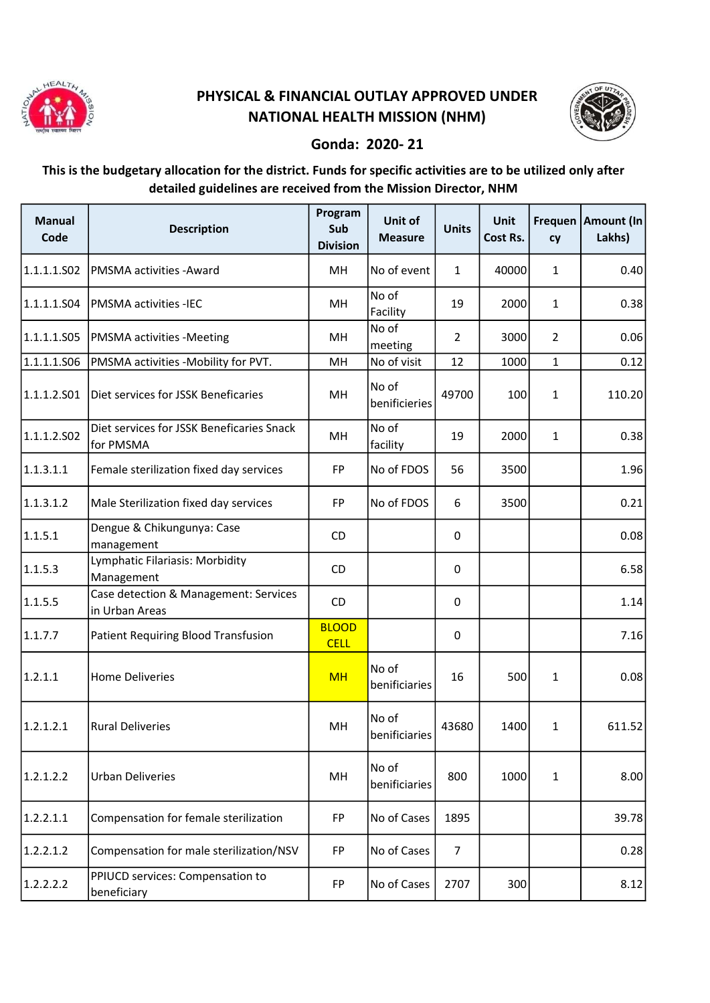

## PHYSICAL & FINANCIAL OUTLAY APPROVED UNDER NATIONAL HEALTH MISSION (NHM)



## Gonda: 2020- 21

## This is the budgetary allocation for the district. Funds for specific activities are to be utilized only after detailed guidelines are received from the Mission Director, NHM

| <b>Manual</b><br>Code | <b>Description</b>                                      | Program<br>Sub<br><b>Division</b> | Unit of<br><b>Measure</b> | <b>Units</b>   | <b>Unit</b><br>Cost Rs. | cy             | Frequen   Amount (In<br>Lakhs) |
|-----------------------|---------------------------------------------------------|-----------------------------------|---------------------------|----------------|-------------------------|----------------|--------------------------------|
| 1.1.1.1.S02           | PMSMA activities - Award                                | MH                                | No of event               | $\mathbf{1}$   | 40000                   | $\mathbf{1}$   | 0.40                           |
| 1.1.1.1.S04           | <b>PMSMA activities -IEC</b>                            | MH                                | No of<br>Facility         | 19             | 2000                    | 1              | 0.38                           |
| 1.1.1.1.S05           | <b>PMSMA activities -Meeting</b>                        | MH                                | No of<br>meeting          | $\overline{2}$ | 3000                    | $\overline{2}$ | 0.06                           |
| 1.1.1.1.506           | PMSMA activities -Mobility for PVT.                     | MH                                | No of visit               | 12             | 1000                    | $\mathbf{1}$   | 0.12                           |
| 1.1.1.2.501           | Diet services for JSSK Beneficaries                     | MH                                | No of<br>benificieries    | 49700          | 100                     | $\mathbf{1}$   | 110.20                         |
| 1.1.1.2.502           | Diet services for JSSK Beneficaries Snack<br>for PMSMA  | MH                                | No of<br>facility         | 19             | 2000                    | 1              | 0.38                           |
| 1.1.3.1.1             | Female sterilization fixed day services                 | FP                                | No of FDOS                | 56             | 3500                    |                | 1.96                           |
| 1.1.3.1.2             | Male Sterilization fixed day services                   | <b>FP</b>                         | No of FDOS                | 6              | 3500                    |                | 0.21                           |
| 1.1.5.1               | Dengue & Chikungunya: Case<br>management                | CD                                |                           | 0              |                         |                | 0.08                           |
| 1.1.5.3               | Lymphatic Filariasis: Morbidity<br>Management           | <b>CD</b>                         |                           | 0              |                         |                | 6.58                           |
| 1.1.5.5               | Case detection & Management: Services<br>in Urban Areas | CD                                |                           | 0              |                         |                | 1.14                           |
| 1.1.7.7               | Patient Requiring Blood Transfusion                     | <b>BLOOD</b><br><b>CELL</b>       |                           | 0              |                         |                | 7.16                           |
| 1.2.1.1               | <b>Home Deliveries</b>                                  | <b>MH</b>                         | No of<br>benificiaries    | 16             | 500                     | $\mathbf{1}$   | 0.08                           |
| 1.2.1.2.1             | <b>Rural Deliveries</b>                                 | MH                                | No of<br>benificiaries    | 43680          | 1400                    | $\mathbf 1$    | 611.52                         |
| 1.2.1.2.2             | <b>Urban Deliveries</b>                                 | MH                                | No of<br>benificiaries    | 800            | 1000                    | 1              | 8.00                           |
| 1.2.2.1.1             | Compensation for female sterilization                   | FP                                | No of Cases               | 1895           |                         |                | 39.78                          |
| 1.2.2.1.2             | Compensation for male sterilization/NSV                 | FP                                | No of Cases               | 7              |                         |                | 0.28                           |
| 1.2.2.2.2             | PPIUCD services: Compensation to<br>beneficiary         | FP                                | No of Cases               | 2707           | 300                     |                | 8.12                           |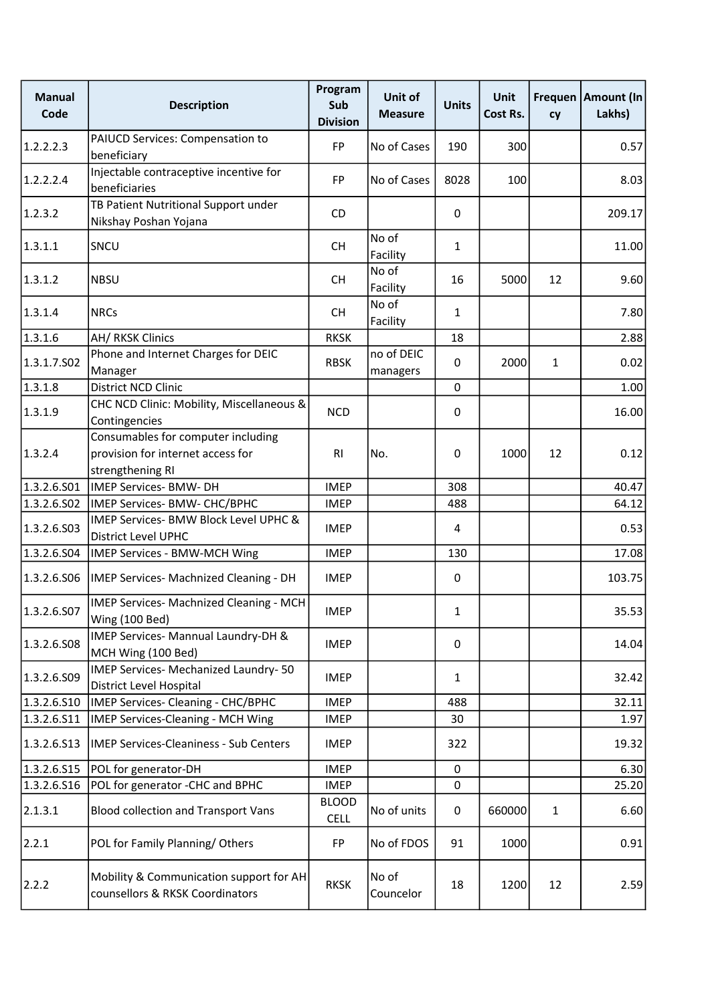| <b>Manual</b><br>Code | <b>Description</b>                                                                          | Program<br>Sub<br><b>Division</b> | Unit of<br><b>Measure</b> | <b>Units</b> | <b>Unit</b><br>Cost Rs. | cy           | Frequen   Amount (In<br>Lakhs) |
|-----------------------|---------------------------------------------------------------------------------------------|-----------------------------------|---------------------------|--------------|-------------------------|--------------|--------------------------------|
| 1.2.2.2.3             | PAIUCD Services: Compensation to<br>beneficiary                                             | FP                                | No of Cases               | 190          | 300                     |              | 0.57                           |
| 1.2.2.2.4             | Injectable contraceptive incentive for<br>beneficiaries                                     | FP                                | No of Cases               | 8028         | 100                     |              | 8.03                           |
| 1.2.3.2               | TB Patient Nutritional Support under<br>Nikshay Poshan Yojana                               | <b>CD</b>                         |                           | 0            |                         |              | 209.17                         |
| 1.3.1.1               | SNCU                                                                                        | <b>CH</b>                         | No of<br>Facility         | $\mathbf 1$  |                         |              | 11.00                          |
| 1.3.1.2               | <b>NBSU</b>                                                                                 | <b>CH</b>                         | No of<br>Facility         | 16           | 5000                    | 12           | 9.60                           |
| 1.3.1.4               | <b>NRCs</b>                                                                                 | CН                                | No of<br>Facility         | $\mathbf{1}$ |                         |              | 7.80                           |
| 1.3.1.6               | AH/ RKSK Clinics                                                                            | <b>RKSK</b>                       |                           | 18           |                         |              | 2.88                           |
| 1.3.1.7.502           | Phone and Internet Charges for DEIC<br>Manager                                              | <b>RBSK</b>                       | no of DEIC<br>managers    | $\mathbf 0$  | 2000                    | $\mathbf{1}$ | 0.02                           |
| 1.3.1.8               | District NCD Clinic                                                                         |                                   |                           | 0            |                         |              | 1.00                           |
| 1.3.1.9               | CHC NCD Clinic: Mobility, Miscellaneous &<br>Contingencies                                  | <b>NCD</b>                        |                           | 0            |                         |              | 16.00                          |
| 1.3.2.4               | Consumables for computer including<br>provision for internet access for<br>strengthening RI | R <sub>l</sub>                    | No.                       | 0            | 1000                    | 12           | 0.12                           |
| 1.3.2.6.S01           | <b>IMEP Services- BMW- DH</b>                                                               | <b>IMEP</b>                       |                           | 308          |                         |              | 40.47                          |
| 1.3.2.6.502           | IMEP Services- BMW- CHC/BPHC                                                                | <b>IMEP</b>                       |                           | 488          |                         |              | 64.12                          |
| 1.3.2.6.S03           | IMEP Services- BMW Block Level UPHC &<br>District Level UPHC                                | <b>IMEP</b>                       |                           | 4            |                         |              | 0.53                           |
| 1.3.2.6.504           | IMEP Services - BMW-MCH Wing                                                                | <b>IMEP</b>                       |                           | 130          |                         |              | 17.08                          |
| 1.3.2.6.506           | IMEP Services- Machnized Cleaning - DH                                                      | <b>IMEP</b>                       |                           | 0            |                         |              | 103.75                         |
| 1.3.2.6.S07           | IMEP Services- Machnized Cleaning - MCH<br>Wing (100 Bed)                                   | <b>IMEP</b>                       |                           | $\mathbf{1}$ |                         |              | 35.53                          |
| 1.3.2.6.508           | IMEP Services- Mannual Laundry-DH &<br>MCH Wing (100 Bed)                                   | <b>IMEP</b>                       |                           | 0            |                         |              | 14.04                          |
| 1.3.2.6.509           | IMEP Services- Mechanized Laundry-50<br>District Level Hospital                             | <b>IMEP</b>                       |                           | 1            |                         |              | 32.42                          |
| 1.3.2.6.510           | IMEP Services- Cleaning - CHC/BPHC                                                          | <b>IMEP</b>                       |                           | 488          |                         |              | 32.11                          |
| 1.3.2.6.S11           | IMEP Services-Cleaning - MCH Wing                                                           | <b>IMEP</b>                       |                           | 30           |                         |              | 1.97                           |
| 1.3.2.6.513           | <b>IMEP Services-Cleaniness - Sub Centers</b>                                               | <b>IMEP</b>                       |                           | 322          |                         |              | 19.32                          |
| 1.3.2.6.S15           | POL for generator-DH                                                                        | <b>IMEP</b>                       |                           | $\pmb{0}$    |                         |              | 6.30                           |
| 1.3.2.6.516           | POL for generator -CHC and BPHC                                                             | <b>IMEP</b>                       |                           | $\pmb{0}$    |                         |              | 25.20                          |
| 2.1.3.1               | <b>Blood collection and Transport Vans</b>                                                  | <b>BLOOD</b><br><b>CELL</b>       | No of units               | 0            | 660000                  | $\mathbf{1}$ | 6.60                           |
| 2.2.1                 | POL for Family Planning/Others                                                              | <b>FP</b>                         | No of FDOS                | 91           | 1000                    |              | 0.91                           |
| 2.2.2                 | Mobility & Communication support for AH<br>counsellors & RKSK Coordinators                  | <b>RKSK</b>                       | No of<br>Councelor        | 18           | 1200                    | 12           | 2.59                           |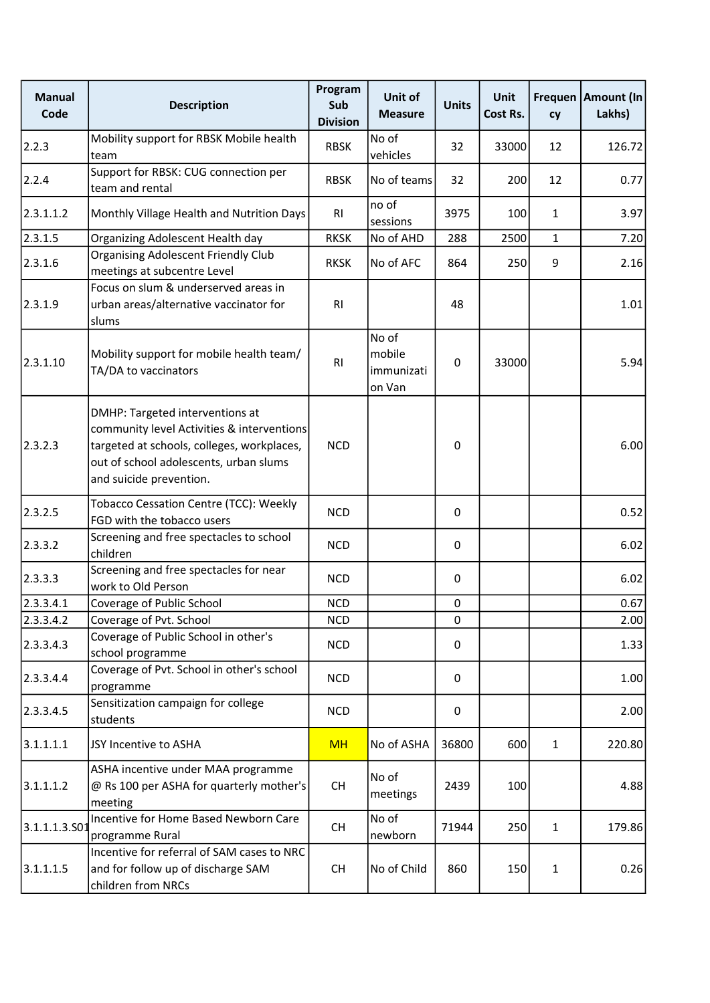| <b>Manual</b><br>Code | <b>Description</b>                                                                                                                                                                               | Program<br>Sub<br><b>Division</b> | Unit of<br><b>Measure</b>               | <b>Units</b> | <b>Unit</b><br>Cost Rs. | cy           | Frequen   Amount (In<br>Lakhs) |
|-----------------------|--------------------------------------------------------------------------------------------------------------------------------------------------------------------------------------------------|-----------------------------------|-----------------------------------------|--------------|-------------------------|--------------|--------------------------------|
| 2.2.3                 | Mobility support for RBSK Mobile health<br>team                                                                                                                                                  | <b>RBSK</b>                       | No of<br>vehicles                       | 32           | 33000                   | 12           | 126.72                         |
| 2.2.4                 | Support for RBSK: CUG connection per<br>team and rental                                                                                                                                          | <b>RBSK</b>                       | No of teams                             | 32           | 200                     | 12           | 0.77                           |
| 2.3.1.1.2             | Monthly Village Health and Nutrition Days                                                                                                                                                        | <b>RI</b>                         | no of<br>sessions                       | 3975         | 100                     | $\mathbf{1}$ | 3.97                           |
| 2.3.1.5               | Organizing Adolescent Health day                                                                                                                                                                 | <b>RKSK</b>                       | No of AHD                               | 288          | 2500                    | $\mathbf{1}$ | 7.20                           |
| 2.3.1.6               | <b>Organising Adolescent Friendly Club</b><br>meetings at subcentre Level                                                                                                                        | <b>RKSK</b>                       | No of AFC                               | 864          | 250                     | 9            | 2.16                           |
| 2.3.1.9               | Focus on slum & underserved areas in<br>urban areas/alternative vaccinator for<br>slums                                                                                                          | R <sub>l</sub>                    |                                         | 48           |                         |              | 1.01                           |
| 2.3.1.10              | Mobility support for mobile health team/<br>TA/DA to vaccinators                                                                                                                                 | RI                                | No of<br>mobile<br>immunizati<br>on Van | $\mathbf 0$  | 33000                   |              | 5.94                           |
| 2.3.2.3               | DMHP: Targeted interventions at<br>community level Activities & interventions<br>targeted at schools, colleges, workplaces,<br>out of school adolescents, urban slums<br>and suicide prevention. | <b>NCD</b>                        |                                         | 0            |                         |              | 6.00                           |
| 2.3.2.5               | <b>Tobacco Cessation Centre (TCC): Weekly</b><br>FGD with the tobacco users                                                                                                                      | <b>NCD</b>                        |                                         | 0            |                         |              | 0.52                           |
| 2.3.3.2               | Screening and free spectacles to school<br>children                                                                                                                                              | <b>NCD</b>                        |                                         | 0            |                         |              | 6.02                           |
| 2.3.3.3               | Screening and free spectacles for near<br>work to Old Person                                                                                                                                     | <b>NCD</b>                        |                                         | 0            |                         |              | 6.02                           |
| 2.3.3.4.1             | Coverage of Public School                                                                                                                                                                        | <b>NCD</b>                        |                                         | $\pmb{0}$    |                         |              | 0.67                           |
| 2.3.3.4.2             | Coverage of Pvt. School                                                                                                                                                                          | <b>NCD</b>                        |                                         | 0            |                         |              | 2.00                           |
| 2.3.3.4.3             | Coverage of Public School in other's<br>school programme                                                                                                                                         | <b>NCD</b>                        |                                         | 0            |                         |              | 1.33                           |
| 2.3.3.4.4             | Coverage of Pvt. School in other's school<br>programme                                                                                                                                           | <b>NCD</b>                        |                                         | $\Omega$     |                         |              | 1.00                           |
| 2.3.3.4.5             | Sensitization campaign for college<br>students                                                                                                                                                   | <b>NCD</b>                        |                                         | 0            |                         |              | 2.00                           |
| 3.1.1.1.1             | JSY Incentive to ASHA                                                                                                                                                                            | <b>MH</b>                         | No of ASHA                              | 36800        | 600                     | $\mathbf{1}$ | 220.80                         |
| 3.1.1.1.2             | ASHA incentive under MAA programme<br>@ Rs 100 per ASHA for quarterly mother's<br>meeting                                                                                                        | <b>CH</b>                         | No of<br>meetings                       | 2439         | 100                     |              | 4.88                           |
| 3.1.1.1.3.501         | Incentive for Home Based Newborn Care<br>programme Rural                                                                                                                                         | <b>CH</b>                         | No of<br>newborn                        | 71944        | 250                     | $\mathbf{1}$ | 179.86                         |
| 3.1.1.1.5             | Incentive for referral of SAM cases to NRC<br>and for follow up of discharge SAM<br>children from NRCs                                                                                           | <b>CH</b>                         | No of Child                             | 860          | 150                     | $\mathbf{1}$ | 0.26                           |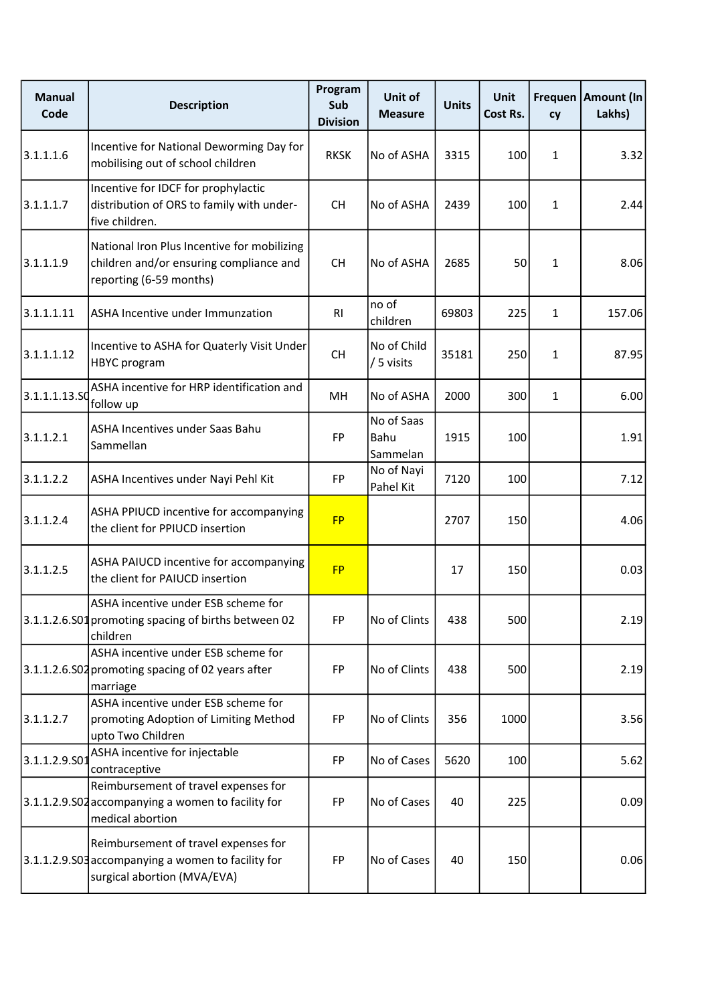| <b>Manual</b><br>Code | <b>Description</b>                                                                                                        | Program<br>Sub<br><b>Division</b> | Unit of<br><b>Measure</b>      | <b>Units</b> | <b>Unit</b><br>Cost Rs. | cy           | Frequen   Amount (In<br>Lakhs) |
|-----------------------|---------------------------------------------------------------------------------------------------------------------------|-----------------------------------|--------------------------------|--------------|-------------------------|--------------|--------------------------------|
| 3.1.1.1.6             | Incentive for National Deworming Day for<br>mobilising out of school children                                             | <b>RKSK</b>                       | No of ASHA                     | 3315         | 100                     | $\mathbf{1}$ | 3.32                           |
| 3.1.1.1.7             | Incentive for IDCF for prophylactic<br>distribution of ORS to family with under-<br>five children.                        | <b>CH</b>                         | No of ASHA                     | 2439         | 100                     | $\mathbf{1}$ | 2.44                           |
| 3.1.1.1.9             | National Iron Plus Incentive for mobilizing<br>children and/or ensuring compliance and<br>reporting (6-59 months)         | <b>CH</b>                         | No of ASHA                     | 2685         | 50                      | $\mathbf{1}$ | 8.06                           |
| 3.1.1.1.11            | ASHA Incentive under Immunzation                                                                                          | RI                                | no of<br>children              | 69803        | 225                     | $\mathbf{1}$ | 157.06                         |
| 3.1.1.1.12            | Incentive to ASHA for Quaterly Visit Under<br><b>HBYC</b> program                                                         | <b>CH</b>                         | No of Child<br>/ 5 visits      | 35181        | 250                     | $\mathbf{1}$ | 87.95                          |
| 3.1.1.1.13.SO         | ASHA incentive for HRP identification and<br>follow up                                                                    | MH                                | No of ASHA                     | 2000         | 300                     | $\mathbf{1}$ | 6.00                           |
| 3.1.1.2.1             | ASHA Incentives under Saas Bahu<br>Sammellan                                                                              | FP                                | No of Saas<br>Bahu<br>Sammelan | 1915         | 100                     |              | 1.91                           |
| 3.1.1.2.2             | ASHA Incentives under Nayi Pehl Kit                                                                                       | FP                                | No of Nayi<br>Pahel Kit        | 7120         | 100                     |              | 7.12                           |
| 3.1.1.2.4             | ASHA PPIUCD incentive for accompanying<br>the client for PPIUCD insertion                                                 | <b>FP</b>                         |                                | 2707         | 150                     |              | 4.06                           |
| 3.1.1.2.5             | ASHA PAIUCD incentive for accompanying<br>the client for PAIUCD insertion                                                 | <b>FP</b>                         |                                | 17           | 150                     |              | 0.03                           |
|                       | ASHA incentive under ESB scheme for<br>3.1.1.2.6.S01 promoting spacing of births between 02<br>children                   | FP                                | No of Clints                   | 438          | 500                     |              | 2.19                           |
|                       | ASHA incentive under ESB scheme for<br>3.1.1.2.6.S02 promoting spacing of 02 years after<br>marriage                      | FP                                | No of Clints                   | 438          | 500                     |              | 2.19                           |
| 3.1.1.2.7             | ASHA incentive under ESB scheme for<br>promoting Adoption of Limiting Method<br>upto Two Children                         | FP                                | No of Clints                   | 356          | 1000                    |              | 3.56                           |
| 3.1.1.2.9.501         | ASHA incentive for injectable<br>contraceptive                                                                            | FP                                | No of Cases                    | 5620         | 100                     |              | 5.62                           |
|                       | Reimbursement of travel expenses for<br>3.1.1.2.9.S02 accompanying a women to facility for<br>medical abortion            | FP                                | No of Cases                    | 40           | 225                     |              | 0.09                           |
|                       | Reimbursement of travel expenses for<br>3.1.1.2.9.S03 accompanying a women to facility for<br>surgical abortion (MVA/EVA) | FP                                | No of Cases                    | 40           | 150                     |              | 0.06                           |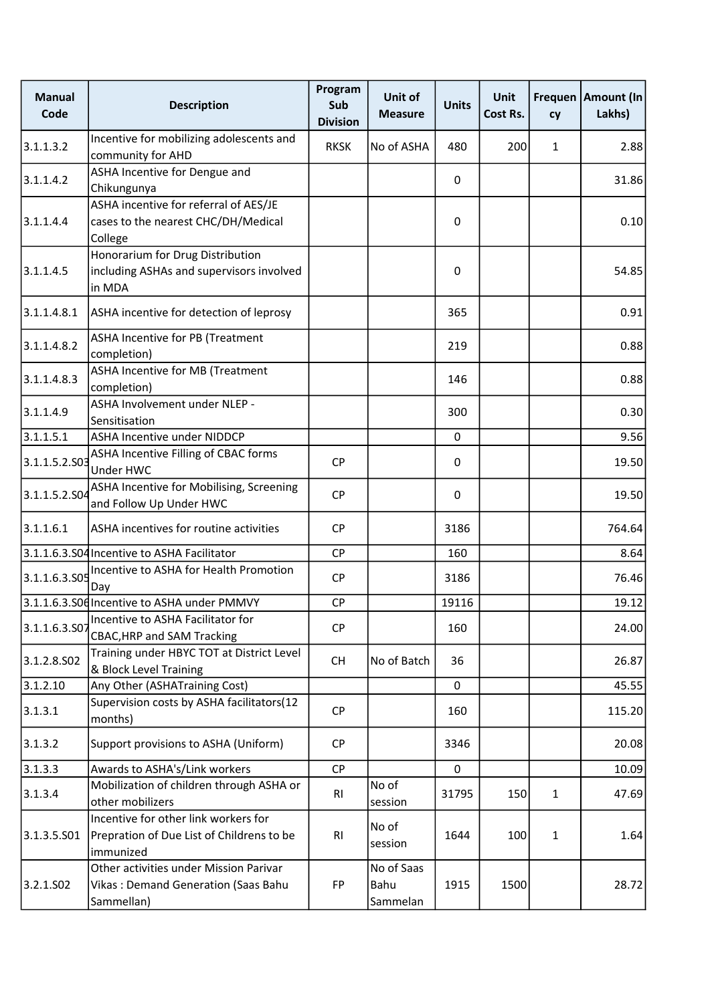| <b>Manual</b><br>Code | <b>Description</b>                                                                             | Program<br>Sub<br><b>Division</b> | Unit of<br><b>Measure</b>      | <b>Units</b> | <b>Unit</b><br>Cost Rs. | cy           | Frequen   Amount (In<br>Lakhs) |
|-----------------------|------------------------------------------------------------------------------------------------|-----------------------------------|--------------------------------|--------------|-------------------------|--------------|--------------------------------|
| 3.1.1.3.2             | Incentive for mobilizing adolescents and<br>community for AHD                                  | <b>RKSK</b>                       | No of ASHA                     | 480          | 200                     | $\mathbf{1}$ | 2.88                           |
| 3.1.1.4.2             | ASHA Incentive for Dengue and<br>Chikungunya                                                   |                                   |                                | 0            |                         |              | 31.86                          |
| 3.1.1.4.4             | ASHA incentive for referral of AES/JE<br>cases to the nearest CHC/DH/Medical<br>College        |                                   |                                | 0            |                         |              | 0.10                           |
| 3.1.1.4.5             | Honorarium for Drug Distribution<br>including ASHAs and supervisors involved<br>in MDA         |                                   |                                | 0            |                         |              | 54.85                          |
| 3.1.1.4.8.1           | ASHA incentive for detection of leprosy                                                        |                                   |                                | 365          |                         |              | 0.91                           |
| 3.1.1.4.8.2           | <b>ASHA Incentive for PB (Treatment</b><br>completion)                                         |                                   |                                | 219          |                         |              | 0.88                           |
| 3.1.1.4.8.3           | ASHA Incentive for MB (Treatment<br>completion)                                                |                                   |                                | 146          |                         |              | 0.88                           |
| 3.1.1.4.9             | ASHA Involvement under NLEP -<br>Sensitisation                                                 |                                   |                                | 300          |                         |              | 0.30                           |
| 3.1.1.5.1             | <b>ASHA Incentive under NIDDCP</b>                                                             |                                   |                                | $\mathbf 0$  |                         |              | 9.56                           |
| 3.1.1.5.2.503         | ASHA Incentive Filling of CBAC forms<br>Under HWC                                              | <b>CP</b>                         |                                | 0            |                         |              | 19.50                          |
| 3.1.1.5.2.SO4         | ASHA Incentive for Mobilising, Screening<br>and Follow Up Under HWC                            | <b>CP</b>                         |                                | $\mathbf 0$  |                         |              | 19.50                          |
| 3.1.1.6.1             | ASHA incentives for routine activities                                                         | <b>CP</b>                         |                                | 3186         |                         |              | 764.64                         |
|                       | 3.1.1.6.3.S04 Incentive to ASHA Facilitator                                                    | <b>CP</b>                         |                                | 160          |                         |              | 8.64                           |
| 3.1.1.6.3.S05         | Incentive to ASHA for Health Promotion<br>Day                                                  | <b>CP</b>                         |                                | 3186         |                         |              | 76.46                          |
|                       | 3.1.1.6.3.S06 Incentive to ASHA under PMMVY                                                    | <b>CP</b>                         |                                | 19116        |                         |              | 19.12                          |
| 3.1.1.6.3.507         | Incentive to ASHA Facilitator for<br><b>CBAC, HRP and SAM Tracking</b>                         | CP                                |                                | 160          |                         |              | 24.00                          |
| 3.1.2.8.502           | Training under HBYC TOT at District Level<br>& Block Level Training                            | <b>CH</b>                         | No of Batch                    | 36           |                         |              | 26.87                          |
| 3.1.2.10              | Any Other (ASHATraining Cost)                                                                  |                                   |                                | $\mathbf{0}$ |                         |              | 45.55                          |
| 3.1.3.1               | Supervision costs by ASHA facilitators(12<br>months)                                           | CP                                |                                | 160          |                         |              | 115.20                         |
| 3.1.3.2               | Support provisions to ASHA (Uniform)                                                           | <b>CP</b>                         |                                | 3346         |                         |              | 20.08                          |
| 3.1.3.3               | Awards to ASHA's/Link workers                                                                  | CP                                |                                | 0            |                         |              | 10.09                          |
| 3.1.3.4               | Mobilization of children through ASHA or<br>other mobilizers                                   | R <sub>l</sub>                    | No of<br>session               | 31795        | 150                     | $\mathbf{1}$ | 47.69                          |
| 3.1.3.5.501           | Incentive for other link workers for<br>Prepration of Due List of Childrens to be<br>immunized | RI                                | No of<br>session               | 1644         | 100                     | $\mathbf{1}$ | 1.64                           |
| 3.2.1.502             | Other activities under Mission Parivar<br>Vikas: Demand Generation (Saas Bahu<br>Sammellan)    | <b>FP</b>                         | No of Saas<br>Bahu<br>Sammelan | 1915         | 1500                    |              | 28.72                          |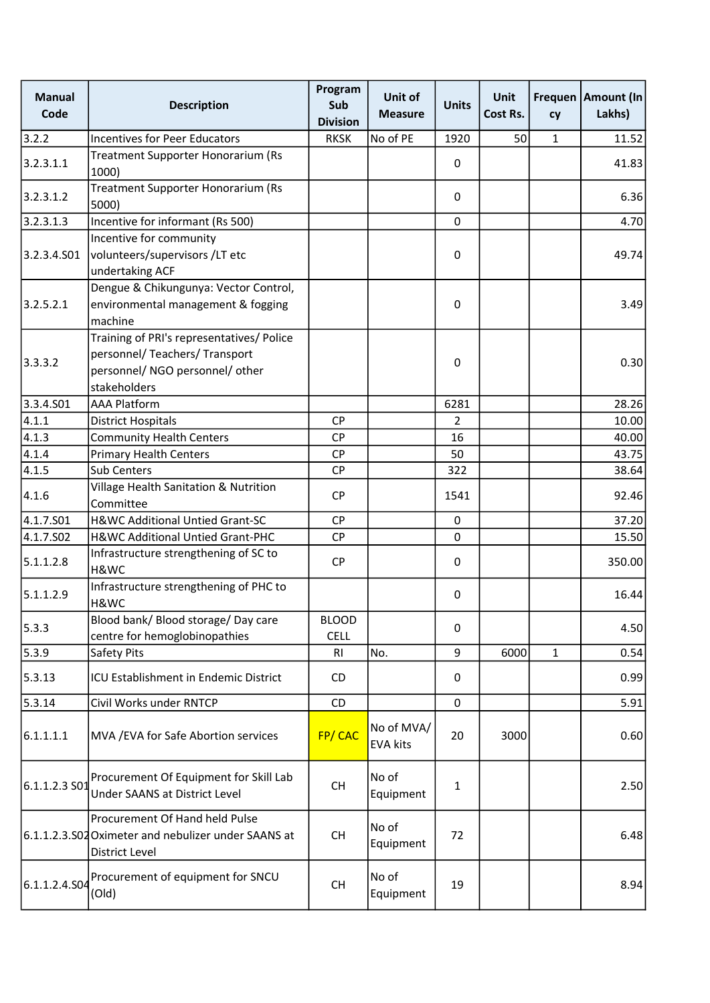| <b>Manual</b><br>Code | <b>Description</b>                                                                                      | Program<br>Sub<br><b>Division</b> | Unit of<br><b>Measure</b>     | <b>Units</b> | <b>Unit</b><br>Cost Rs. | cy           | Frequen   Amount (In<br>Lakhs) |
|-----------------------|---------------------------------------------------------------------------------------------------------|-----------------------------------|-------------------------------|--------------|-------------------------|--------------|--------------------------------|
| 3.2.2                 | <b>Incentives for Peer Educators</b>                                                                    | <b>RKSK</b>                       | No of PE                      | 1920         | 50                      | $\mathbf{1}$ | 11.52                          |
| 3.2.3.1.1             | <b>Treatment Supporter Honorarium (Rs</b><br>1000)                                                      |                                   |                               | 0            |                         |              | 41.83                          |
| 3.2.3.1.2             | Treatment Supporter Honorarium (Rs<br>5000)                                                             |                                   |                               | 0            |                         |              | 6.36                           |
| 3.2.3.1.3             | Incentive for informant (Rs 500)                                                                        |                                   |                               | $\mathbf 0$  |                         |              | 4.70                           |
|                       | Incentive for community                                                                                 |                                   |                               |              |                         |              |                                |
| 3.2.3.4.501           | volunteers/supervisors/LT etc<br>undertaking ACF                                                        |                                   |                               | $\mathbf 0$  |                         |              | 49.74                          |
|                       | Dengue & Chikungunya: Vector Control,                                                                   |                                   |                               |              |                         |              |                                |
| 3.2.5.2.1             | environmental management & fogging                                                                      |                                   |                               | $\mathbf 0$  |                         |              | 3.49                           |
|                       | machine                                                                                                 |                                   |                               |              |                         |              |                                |
|                       | Training of PRI's representatives/ Police                                                               |                                   |                               |              |                         |              |                                |
| 3.3.3.2               | personnel/ Teachers/ Transport                                                                          |                                   |                               |              |                         |              | 0.30                           |
|                       | personnel/ NGO personnel/ other                                                                         |                                   |                               | $\mathbf 0$  |                         |              |                                |
|                       | stakeholders                                                                                            |                                   |                               |              |                         |              |                                |
| 3.3.4.501             | <b>AAA Platform</b>                                                                                     |                                   |                               | 6281         |                         |              | 28.26                          |
| 4.1.1                 | <b>District Hospitals</b>                                                                               | <b>CP</b>                         |                               | 2            |                         |              | 10.00                          |
| 4.1.3                 | <b>Community Health Centers</b>                                                                         | CP                                |                               | 16           |                         |              | 40.00                          |
| 4.1.4                 | <b>Primary Health Centers</b>                                                                           | CP                                |                               | 50           |                         |              | 43.75                          |
| 4.1.5                 | Sub Centers                                                                                             | <b>CP</b>                         |                               | 322          |                         |              | 38.64                          |
| 4.1.6                 | Village Health Sanitation & Nutrition                                                                   | <b>CP</b>                         |                               | 1541         |                         |              | 92.46                          |
|                       | Committee                                                                                               |                                   |                               |              |                         |              |                                |
| 4.1.7.501             | H&WC Additional Untied Grant-SC                                                                         | <b>CP</b>                         |                               | $\mathbf 0$  |                         |              | 37.20                          |
| 4.1.7.502             | H&WC Additional Untied Grant-PHC                                                                        | CP                                |                               | 0            |                         |              | 15.50                          |
| 5.1.1.2.8             | Infrastructure strengthening of SC to<br>H&WC                                                           | <b>CP</b>                         |                               | $\mathbf 0$  |                         |              | 350.00                         |
| 5.1.1.2.9             | Infrastructure strengthening of PHC to<br>H&WC                                                          |                                   |                               | 0            |                         |              | 16.44                          |
|                       | Blood bank/ Blood storage/ Day care                                                                     | <b>BLOOD</b>                      |                               |              |                         |              |                                |
| 5.3.3                 | centre for hemoglobinopathies                                                                           | <b>CELL</b>                       |                               | $\mathbf 0$  |                         |              | 4.50                           |
| 5.3.9                 | Safety Pits                                                                                             | <b>RI</b>                         | No.                           | 9            | 6000                    | $\mathbf{1}$ | 0.54                           |
| 5.3.13                | ICU Establishment in Endemic District                                                                   | CD                                |                               | 0            |                         |              | 0.99                           |
| 5.3.14                | Civil Works under RNTCP                                                                                 | CD                                |                               | $\pmb{0}$    |                         |              | 5.91                           |
| 6.1.1.1.1             | MVA / EVA for Safe Abortion services                                                                    | FP/CAC                            | No of MVA/<br><b>EVA kits</b> | 20           | 3000                    |              | 0.60                           |
| 6.1.1.2.3S            | Procurement Of Equipment for Skill Lab<br><b>Under SAANS at District Level</b>                          | <b>CH</b>                         | No of<br>Equipment            | 1            |                         |              | 2.50                           |
|                       | Procurement Of Hand held Pulse<br>6.1.1.2.3.S02 Oximeter and nebulizer under SAANS at<br>District Level | <b>CH</b>                         | No of<br>Equipment            | 72           |                         |              | 6.48                           |
| 6.1.1.2.4.504         | Procurement of equipment for SNCU<br>(Old)                                                              | <b>CH</b>                         | No of<br>Equipment            | 19           |                         |              | 8.94                           |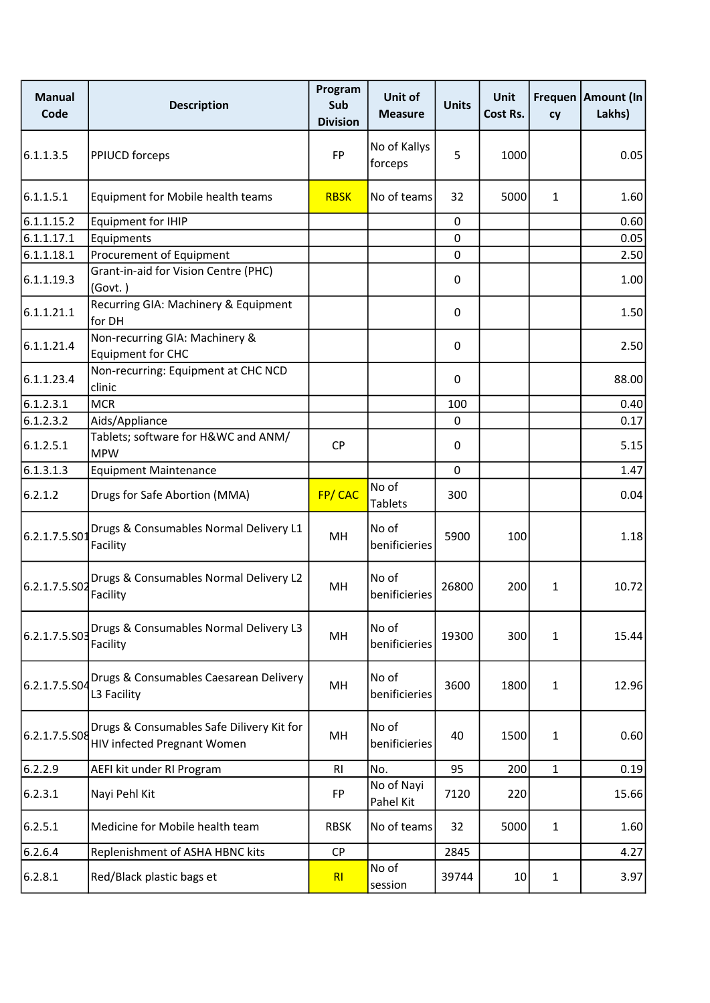| <b>Manual</b><br>Code | <b>Description</b>                                                       | Program<br>Sub<br><b>Division</b> | Unit of<br><b>Measure</b> | <b>Units</b> | <b>Unit</b><br>Cost Rs. | cy           | Frequen   Amount (In<br>Lakhs) |
|-----------------------|--------------------------------------------------------------------------|-----------------------------------|---------------------------|--------------|-------------------------|--------------|--------------------------------|
| 6.1.1.3.5             | PPIUCD forceps                                                           | <b>FP</b>                         | No of Kallys<br>forceps   | 5            | 1000                    |              | 0.05                           |
| 6.1.1.5.1             | Equipment for Mobile health teams                                        | <b>RBSK</b>                       | No of teams               | 32           | 5000                    | $\mathbf{1}$ | 1.60                           |
| 6.1.1.15.2            | <b>Equipment for IHIP</b>                                                |                                   |                           | 0            |                         |              | 0.60                           |
| 6.1.1.17.1            | Equipments                                                               |                                   |                           | 0            |                         |              | 0.05                           |
| 6.1.1.18.1            | Procurement of Equipment                                                 |                                   |                           | 0            |                         |              | 2.50                           |
| 6.1.1.19.3            | Grant-in-aid for Vision Centre (PHC)<br>(Govt.)                          |                                   |                           | 0            |                         |              | 1.00                           |
| 6.1.1.21.1            | Recurring GIA: Machinery & Equipment<br>for DH                           |                                   |                           | 0            |                         |              | 1.50                           |
| 6.1.1.21.4            | Non-recurring GIA: Machinery &<br><b>Equipment for CHC</b>               |                                   |                           | 0            |                         |              | 2.50                           |
| 6.1.1.23.4            | Non-recurring: Equipment at CHC NCD<br>clinic                            |                                   |                           | 0            |                         |              | 88.00                          |
| 6.1.2.3.1             | <b>MCR</b>                                                               |                                   |                           | 100          |                         |              | 0.40                           |
| 6.1.2.3.2             | Aids/Appliance                                                           |                                   |                           | 0            |                         |              | 0.17                           |
| 6.1.2.5.1             | Tablets; software for H&WC and ANM/<br><b>MPW</b>                        | <b>CP</b>                         |                           | 0            |                         |              | 5.15                           |
| 6.1.3.1.3             | <b>Equipment Maintenance</b>                                             |                                   |                           | 0            |                         |              | 1.47                           |
| 6.2.1.2               | Drugs for Safe Abortion (MMA)                                            | FP/CAC                            | No of<br><b>Tablets</b>   | 300          |                         |              | 0.04                           |
| 6.2.1.7.5.S01         | Drugs & Consumables Normal Delivery L1<br>Facility                       | MH                                | No of<br>benificieries    | 5900         | 100                     |              | 1.18                           |
| 6.2.1.7.5.S02         | Drugs & Consumables Normal Delivery L2<br>Facility                       | MH                                | No of<br>benificieries    | 26800        | 200                     | $\mathbf{1}$ | 10.72                          |
| 6.2.1.7.5.503         | Drugs & Consumables Normal Delivery L3<br>Facility                       | MH                                | No of<br>benificieries    | 19300        | 300                     | $\mathbf{1}$ | 15.44                          |
| 6.2.1.7.5.504         | Drugs & Consumables Caesarean Delivery<br>L3 Facility                    | MH                                | No of<br>benificieries    | 3600         | 1800                    | $\mathbf{1}$ | 12.96                          |
| 6.2.1.7.5.508         | Drugs & Consumables Safe Dilivery Kit for<br>HIV infected Pregnant Women | MН                                | No of<br>benificieries    | 40           | 1500                    | $\mathbf{1}$ | 0.60                           |
| 6.2.2.9               | AEFI kit under RI Program                                                | R <sub>l</sub>                    | No.                       | 95           | 200                     | $\mathbf{1}$ | 0.19                           |
| 6.2.3.1               | Nayi Pehl Kit                                                            | FP                                | No of Nayi<br>Pahel Kit   | 7120         | 220                     |              | 15.66                          |
| 6.2.5.1               | Medicine for Mobile health team                                          | <b>RBSK</b>                       | No of teams               | 32           | 5000                    | $\mathbf{1}$ | 1.60                           |
| 6.2.6.4               | Replenishment of ASHA HBNC kits                                          | <b>CP</b>                         |                           | 2845         |                         |              | 4.27                           |
| 6.2.8.1               | Red/Black plastic bags et                                                | RI                                | No of<br>session          | 39744        | $10\,$                  | $\mathbf{1}$ | 3.97                           |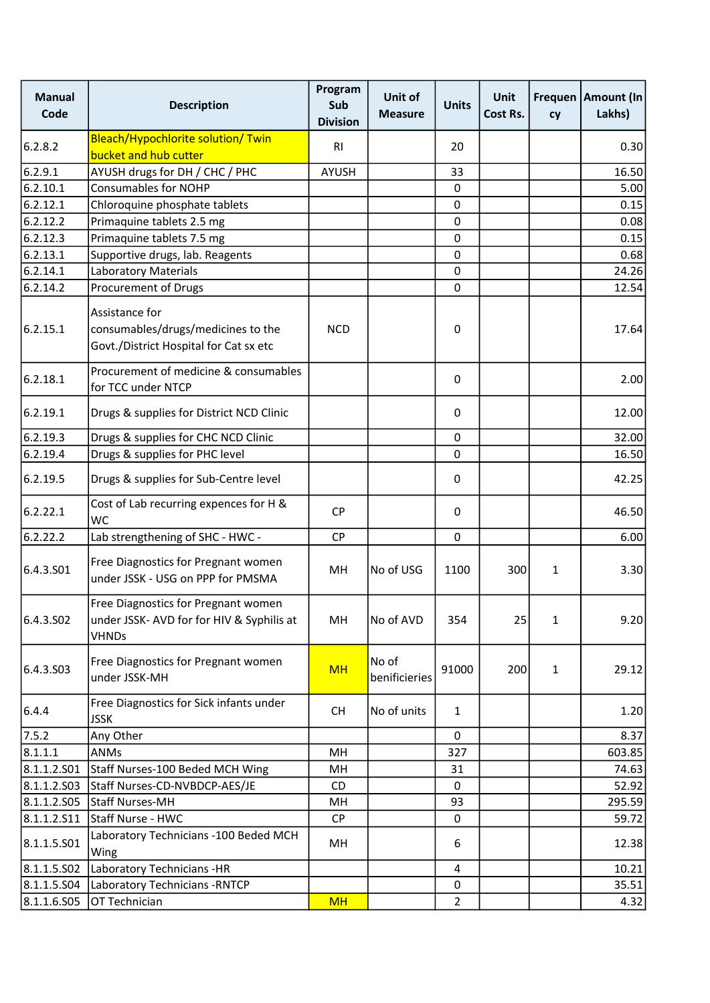| <b>Manual</b><br>Code | <b>Description</b>                                                                               | Program<br>Sub<br><b>Division</b> | Unit of<br><b>Measure</b> | <b>Units</b>   | <b>Unit</b><br>Cost Rs. | cy           | Frequen   Amount (In<br>Lakhs) |
|-----------------------|--------------------------------------------------------------------------------------------------|-----------------------------------|---------------------------|----------------|-------------------------|--------------|--------------------------------|
| 6.2.8.2               | Bleach/Hypochlorite solution/ Twin<br>bucket and hub cutter                                      | <b>RI</b>                         |                           | 20             |                         |              | 0.30                           |
| 6.2.9.1               | AYUSH drugs for DH / CHC / PHC                                                                   | <b>AYUSH</b>                      |                           | 33             |                         |              | 16.50                          |
| 6.2.10.1              | <b>Consumables for NOHP</b>                                                                      |                                   |                           | 0              |                         |              | 5.00                           |
| 6.2.12.1              | Chloroquine phosphate tablets                                                                    |                                   |                           | $\pmb{0}$      |                         |              | 0.15                           |
| 6.2.12.2              | Primaquine tablets 2.5 mg                                                                        |                                   |                           | $\mathbf 0$    |                         |              | 0.08                           |
| 6.2.12.3              | Primaquine tablets 7.5 mg                                                                        |                                   |                           | $\pmb{0}$      |                         |              | 0.15                           |
| 6.2.13.1              | Supportive drugs, lab. Reagents                                                                  |                                   |                           | $\pmb{0}$      |                         |              | 0.68                           |
| 6.2.14.1              | <b>Laboratory Materials</b>                                                                      |                                   |                           | $\pmb{0}$      |                         |              | 24.26                          |
| 6.2.14.2              | Procurement of Drugs                                                                             |                                   |                           | $\pmb{0}$      |                         |              | 12.54                          |
| 6.2.15.1              | Assistance for<br>consumables/drugs/medicines to the<br>Govt./District Hospital for Cat sx etc   | <b>NCD</b>                        |                           | 0              |                         |              | 17.64                          |
| 6.2.18.1              | Procurement of medicine & consumables<br>for TCC under NTCP                                      |                                   |                           | 0              |                         |              | 2.00                           |
| 6.2.19.1              | Drugs & supplies for District NCD Clinic                                                         |                                   |                           | 0              |                         |              | 12.00                          |
| 6.2.19.3              | Drugs & supplies for CHC NCD Clinic                                                              |                                   |                           | $\pmb{0}$      |                         |              | 32.00                          |
| 6.2.19.4              | Drugs & supplies for PHC level                                                                   |                                   |                           | 0              |                         |              | 16.50                          |
| 6.2.19.5              | Drugs & supplies for Sub-Centre level                                                            |                                   |                           | 0              |                         |              | 42.25                          |
| 6.2.22.1              | Cost of Lab recurring expences for H &<br><b>WC</b>                                              | <b>CP</b>                         |                           | 0              |                         |              | 46.50                          |
| 6.2.22.2              | Lab strengthening of SHC - HWC -                                                                 | <b>CP</b>                         |                           | $\mathbf 0$    |                         |              | 6.00                           |
| 6.4.3.501             | Free Diagnostics for Pregnant women<br>under JSSK - USG on PPP for PMSMA                         | MH                                | <b>No of USG</b>          | 1100           | 300                     | $\mathbf{1}$ | 3.30                           |
| 6.4.3.502             | Free Diagnostics for Pregnant women<br>under JSSK- AVD for for HIV & Syphilis at<br><b>VHNDs</b> | MH                                | No of AVD                 | 354            | 25                      | $\mathbf{1}$ | 9.20                           |
| 6.4.3.503             | Free Diagnostics for Pregnant women<br>under JSSK-MH                                             | <b>MH</b>                         | No of<br>benificieries    | 91000          | 200                     | $\mathbf{1}$ | 29.12                          |
| 6.4.4                 | Free Diagnostics for Sick infants under<br><b>JSSK</b>                                           | <b>CH</b>                         | No of units               | $\mathbf{1}$   |                         |              | 1.20                           |
| 7.5.2                 | Any Other                                                                                        |                                   |                           | $\mathbf 0$    |                         |              | 8.37                           |
| 8.1.1.1               | <b>ANMs</b>                                                                                      | MН                                |                           | 327            |                         |              | 603.85                         |
| 8.1.1.2.501           | Staff Nurses-100 Beded MCH Wing                                                                  | MH                                |                           | 31             |                         |              | 74.63                          |
| 8.1.1.2.503           | Staff Nurses-CD-NVBDCP-AES/JE                                                                    | <b>CD</b>                         |                           | $\mathbf{0}$   |                         |              | 52.92                          |
| 8.1.1.2.505           | Staff Nurses-MH                                                                                  | MН                                |                           | 93             |                         |              | 295.59                         |
| 8.1.1.2.511           | Staff Nurse - HWC                                                                                | CP                                |                           | 0              |                         |              | 59.72                          |
| 8.1.1.5.501           | Laboratory Technicians - 100 Beded MCH<br>Wing                                                   | MН                                |                           | 6              |                         |              | 12.38                          |
| 8.1.1.5.502           | Laboratory Technicians -HR                                                                       |                                   |                           | 4              |                         |              | 10.21                          |
| 8.1.1.5.504           | Laboratory Technicians - RNTCP                                                                   |                                   |                           | 0              |                         |              | 35.51                          |
| 8.1.1.6.505           | OT Technician                                                                                    | <b>MH</b>                         |                           | $\overline{2}$ |                         |              | 4.32                           |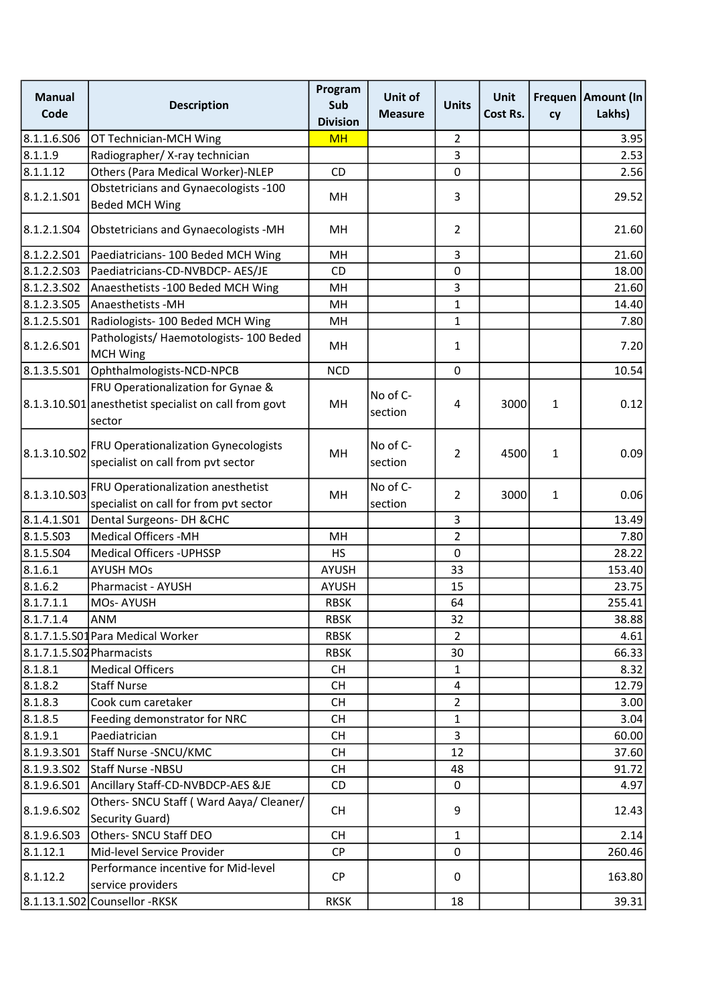| <b>Manual</b><br>Code     | <b>Description</b>                                                                                    | Program<br>Sub<br><b>Division</b> | Unit of<br><b>Measure</b> | <b>Units</b>   | Unit<br>Cost Rs. | <b>Frequen</b><br>cy | Amount (In<br>Lakhs) |
|---------------------------|-------------------------------------------------------------------------------------------------------|-----------------------------------|---------------------------|----------------|------------------|----------------------|----------------------|
| 8.1.1.6.506               | OT Technician-MCH Wing                                                                                | <b>MH</b>                         |                           | $\overline{2}$ |                  |                      | 3.95                 |
| 8.1.1.9                   | Radiographer/ X-ray technician                                                                        |                                   |                           | 3              |                  |                      | 2.53                 |
| 8.1.1.12                  | Others (Para Medical Worker)-NLEP                                                                     | <b>CD</b>                         |                           | 0              |                  |                      | 2.56                 |
| 8.1.2.1.501               | Obstetricians and Gynaecologists -100<br><b>Beded MCH Wing</b>                                        | MH                                |                           | 3              |                  |                      | 29.52                |
| 8.1.2.1.S04               | Obstetricians and Gynaecologists -MH                                                                  | MH                                |                           | $\overline{2}$ |                  |                      | 21.60                |
| 8.1.2.2.501               | Paediatricians- 100 Beded MCH Wing                                                                    | MH                                |                           | 3              |                  |                      | 21.60                |
| 8.1.2.2.503               | Paediatricians-CD-NVBDCP- AES/JE                                                                      | <b>CD</b>                         |                           | 0              |                  |                      | 18.00                |
| 8.1.2.3.502               | Anaesthetists -100 Beded MCH Wing                                                                     | MH                                |                           | 3              |                  |                      | 21.60                |
| 8.1.2.3.505               | Anaesthetists - MH                                                                                    | MH                                |                           | $\mathbf{1}$   |                  |                      | 14.40                |
| 8.1.2.5.S01               | Radiologists-100 Beded MCH Wing                                                                       | MH                                |                           | $\mathbf{1}$   |                  |                      | 7.80                 |
| 8.1.2.6.501               | Pathologists/ Haemotologists- 100 Beded<br><b>MCH Wing</b>                                            | MH                                |                           | 1              |                  |                      | 7.20                 |
| 8.1.3.5.501               | Ophthalmologists-NCD-NPCB                                                                             | <b>NCD</b>                        |                           | 0              |                  |                      | 10.54                |
|                           | FRU Operationalization for Gynae &<br>8.1.3.10.S01 anesthetist specialist on call from govt<br>sector | MH                                | No of C-<br>section       | 4              | 3000             | $\mathbf{1}$         | 0.12                 |
| 8.1.3.10.S02              | FRU Operationalization Gynecologists<br>specialist on call from pvt sector                            | MН                                | No of C-<br>section       | $\overline{2}$ | 4500             | 1                    | 0.09                 |
| 8.1.3.10.S03              | FRU Operationalization anesthetist<br>specialist on call for from pvt sector                          | MH                                | No of C-<br>section       | $\overline{2}$ | 3000             | $\mathbf{1}$         | 0.06                 |
| 8.1.4.1.S01               | Dental Surgeons- DH & CHC                                                                             |                                   |                           | 3              |                  |                      | 13.49                |
| 8.1.5.503                 | <b>Medical Officers -MH</b>                                                                           | MH                                |                           | $\overline{2}$ |                  |                      | 7.80                 |
| 8.1.5.504                 | <b>Medical Officers - UPHSSP</b>                                                                      | <b>HS</b>                         |                           | 0              |                  |                      | 28.22                |
| 8.1.6.1                   | <b>AYUSH MOs</b>                                                                                      | <b>AYUSH</b>                      |                           | 33             |                  |                      | 153.40               |
| 8.1.6.2                   | Pharmacist - AYUSH                                                                                    | <b>AYUSH</b>                      |                           | 15             |                  |                      | 23.75                |
| 8.1.7.1.1                 | MOs-AYUSH                                                                                             | <b>RBSK</b>                       |                           | 64             |                  |                      | 255.41               |
| 8.1.7.1.4                 | ANM                                                                                                   | <b>RBSK</b>                       |                           | 32             |                  |                      | 38.88                |
|                           | 8.1.7.1.5.S01 Para Medical Worker                                                                     | <b>RBSK</b>                       |                           | $\overline{2}$ |                  |                      | 4.61                 |
| 8.1.7.1.5.S02 Pharmacists |                                                                                                       | <b>RBSK</b>                       |                           | 30             |                  |                      | 66.33                |
| 8.1.8.1                   | <b>Medical Officers</b>                                                                               | <b>CH</b>                         |                           | $\mathbf{1}$   |                  |                      | 8.32                 |
| 8.1.8.2                   | <b>Staff Nurse</b>                                                                                    | <b>CH</b>                         |                           | 4              |                  |                      | 12.79                |
| 8.1.8.3                   | Cook cum caretaker                                                                                    | <b>CH</b>                         |                           | $\overline{2}$ |                  |                      | 3.00                 |
| 8.1.8.5                   | Feeding demonstrator for NRC                                                                          | <b>CH</b>                         |                           | $\mathbf{1}$   |                  |                      | 3.04                 |
| 8.1.9.1                   | Paediatrician                                                                                         | <b>CH</b>                         |                           | 3              |                  |                      | 60.00                |
| 8.1.9.3.501               | Staff Nurse - SNCU/KMC                                                                                | <b>CH</b>                         |                           | 12             |                  |                      | 37.60                |
| 8.1.9.3.SO2               | Staff Nurse -NBSU                                                                                     | <b>CH</b>                         |                           | 48             |                  |                      | 91.72                |
| 8.1.9.6.S01               | Ancillary Staff-CD-NVBDCP-AES &JE                                                                     | CD                                |                           | 0              |                  |                      | 4.97                 |
| 8.1.9.6.S02               | Others- SNCU Staff (Ward Aaya/ Cleaner/<br>Security Guard)                                            | <b>CH</b>                         |                           | 9              |                  |                      | 12.43                |
| 8.1.9.6.503               | Others- SNCU Staff DEO                                                                                | <b>CH</b>                         |                           | $\mathbf{1}$   |                  |                      | 2.14                 |
| 8.1.12.1                  | Mid-level Service Provider                                                                            | CP                                |                           | 0              |                  |                      | 260.46               |
| 8.1.12.2                  | Performance incentive for Mid-level<br>service providers                                              | <b>CP</b>                         |                           | 0              |                  |                      | 163.80               |
|                           | 8.1.13.1.S02 Counsellor - RKSK                                                                        | <b>RKSK</b>                       |                           | 18             |                  |                      | 39.31                |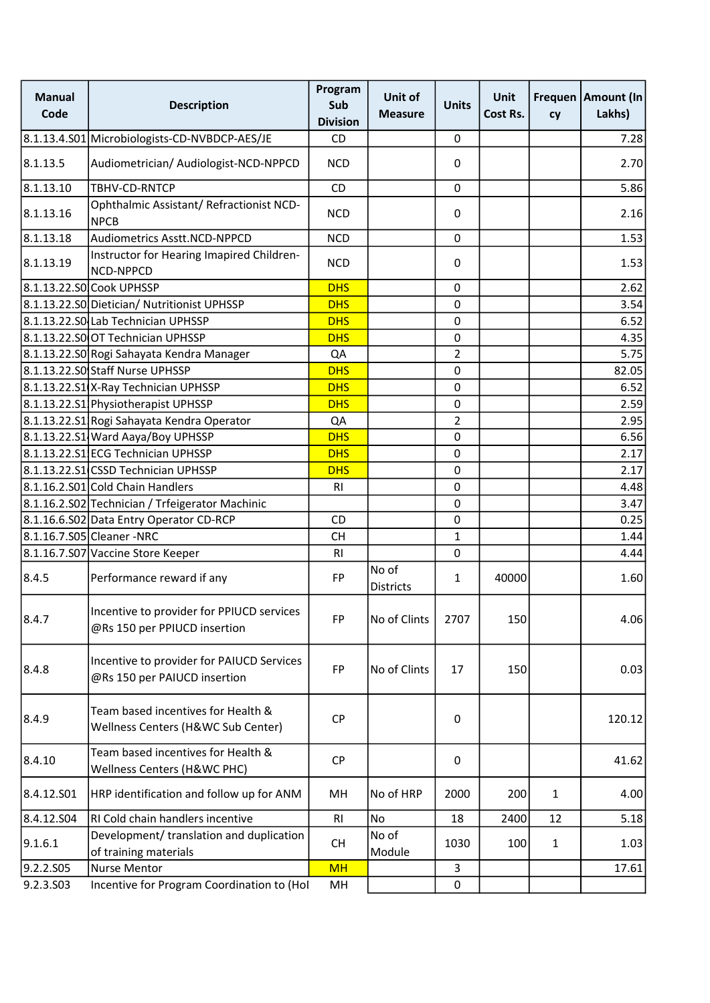| <b>Manual</b><br>Code | <b>Description</b>                                                        | Program<br>Sub<br><b>Division</b> | Unit of<br><b>Measure</b> | <b>Units</b>   | <b>Unit</b><br>Cost Rs. | cy           | Frequen   Amount (In<br>Lakhs) |
|-----------------------|---------------------------------------------------------------------------|-----------------------------------|---------------------------|----------------|-------------------------|--------------|--------------------------------|
|                       | 8.1.13.4.S01 Microbiologists-CD-NVBDCP-AES/JE                             | <b>CD</b>                         |                           | 0              |                         |              | 7.28                           |
| 8.1.13.5              | Audiometrician/ Audiologist-NCD-NPPCD                                     | <b>NCD</b>                        |                           | 0              |                         |              | 2.70                           |
| 8.1.13.10             | TBHV-CD-RNTCP                                                             | CD                                |                           | $\mathbf 0$    |                         |              | 5.86                           |
| 8.1.13.16             | Ophthalmic Assistant/ Refractionist NCD-<br><b>NPCB</b>                   | <b>NCD</b>                        |                           | 0              |                         |              | 2.16                           |
| 8.1.13.18             | Audiometrics Asstt.NCD-NPPCD                                              | <b>NCD</b>                        |                           | $\mathbf 0$    |                         |              | 1.53                           |
| 8.1.13.19             | Instructor for Hearing Imapired Children-<br>NCD-NPPCD                    | <b>NCD</b>                        |                           | 0              |                         |              | 1.53                           |
|                       | 8.1.13.22.S0 Cook UPHSSP                                                  | <b>DHS</b>                        |                           | $\pmb{0}$      |                         |              | 2.62                           |
|                       | 8.1.13.22.S0 Dietician/ Nutritionist UPHSSP                               | <b>DHS</b>                        |                           | $\mathbf 0$    |                         |              | 3.54                           |
|                       | 8.1.13.22.SO Lab Technician UPHSSP                                        | <b>DHS</b>                        |                           | $\pmb{0}$      |                         |              | 6.52                           |
|                       | 8.1.13.22.SOOT Technician UPHSSP                                          | <b>DHS</b>                        |                           | $\pmb{0}$      |                         |              | 4.35                           |
|                       | 8.1.13.22.S0 Rogi Sahayata Kendra Manager                                 | QA                                |                           | $\overline{2}$ |                         |              | 5.75                           |
|                       | 8.1.13.22.S0 Staff Nurse UPHSSP                                           | <b>DHS</b>                        |                           | $\mathbf 0$    |                         |              | 82.05                          |
|                       | 8.1.13.22.S1 X-Ray Technician UPHSSP                                      | <b>DHS</b>                        |                           | $\pmb{0}$      |                         |              | 6.52                           |
|                       | 8.1.13.22.S1 Physiotherapist UPHSSP                                       | <b>DHS</b>                        |                           | $\pmb{0}$      |                         |              | 2.59                           |
|                       | 8.1.13.22.51 Rogi Sahayata Kendra Operator                                | QA                                |                           | $\overline{2}$ |                         |              | 2.95                           |
|                       | 8.1.13.22.S1 Ward Aaya/Boy UPHSSP                                         | <b>DHS</b>                        |                           | $\pmb{0}$      |                         |              | 6.56                           |
|                       | 8.1.13.22.S1 ECG Technician UPHSSP                                        | <b>DHS</b>                        |                           | $\pmb{0}$      |                         |              | 2.17                           |
|                       | 8.1.13.22.S1 CSSD Technician UPHSSP                                       | <b>DHS</b>                        |                           | $\pmb{0}$      |                         |              | 2.17                           |
|                       | 8.1.16.2.S01 Cold Chain Handlers                                          | R <sub>l</sub>                    |                           | $\pmb{0}$      |                         |              | 4.48                           |
|                       | 8.1.16.2.S02 Technician / Trfeigerator Machinic                           |                                   |                           | $\pmb{0}$      |                         |              | 3.47                           |
|                       | 8.1.16.6.S02 Data Entry Operator CD-RCP                                   | CD                                |                           | $\mathbf 0$    |                         |              | 0.25                           |
|                       | 8.1.16.7.S05 Cleaner - NRC                                                | <b>CH</b>                         |                           | 1              |                         |              | 1.44                           |
|                       | 8.1.16.7.S07 Vaccine Store Keeper                                         | R <sub>l</sub>                    |                           | 0              |                         |              | 4.44                           |
| 8.4.5                 | Performance reward if any                                                 | FP                                | No of<br><b>Districts</b> | $\mathbf{1}$   | 40000                   |              | 1.60                           |
| 8.4.7                 | Incentive to provider for PPIUCD services<br>@Rs 150 per PPIUCD insertion | <b>FP</b>                         | No of Clints              | 2707           | 150                     |              | 4.06                           |
| 8.4.8                 | Incentive to provider for PAIUCD Services<br>@Rs 150 per PAIUCD insertion | FP                                | No of Clints              | 17             | 150                     |              | 0.03                           |
| 8.4.9                 | Team based incentives for Health &<br>Wellness Centers (H&WC Sub Center)  | <b>CP</b>                         |                           | 0              |                         |              | 120.12                         |
| 8.4.10                | Team based incentives for Health &<br>Wellness Centers (H&WC PHC)         | <b>CP</b>                         |                           | 0              |                         |              | 41.62                          |
| 8.4.12.501            | HRP identification and follow up for ANM                                  | MH                                | No of HRP                 | 2000           | 200                     | $\mathbf{1}$ | 4.00                           |
| 8.4.12.504            | RI Cold chain handlers incentive                                          | R <sub>l</sub>                    | <b>No</b>                 | 18             | 2400                    | 12           | 5.18                           |
| 9.1.6.1               | Development/ translation and duplication<br>of training materials         | <b>CH</b>                         | No of<br>Module           | 1030           | 100                     | $\mathbf{1}$ | 1.03                           |
| 9.2.2.S05             | <b>Nurse Mentor</b>                                                       | <b>MH</b>                         |                           | 3              |                         |              | 17.61                          |
| 9.2.3.503             | Incentive for Program Coordination to (Hol                                | MH                                |                           | $\pmb{0}$      |                         |              |                                |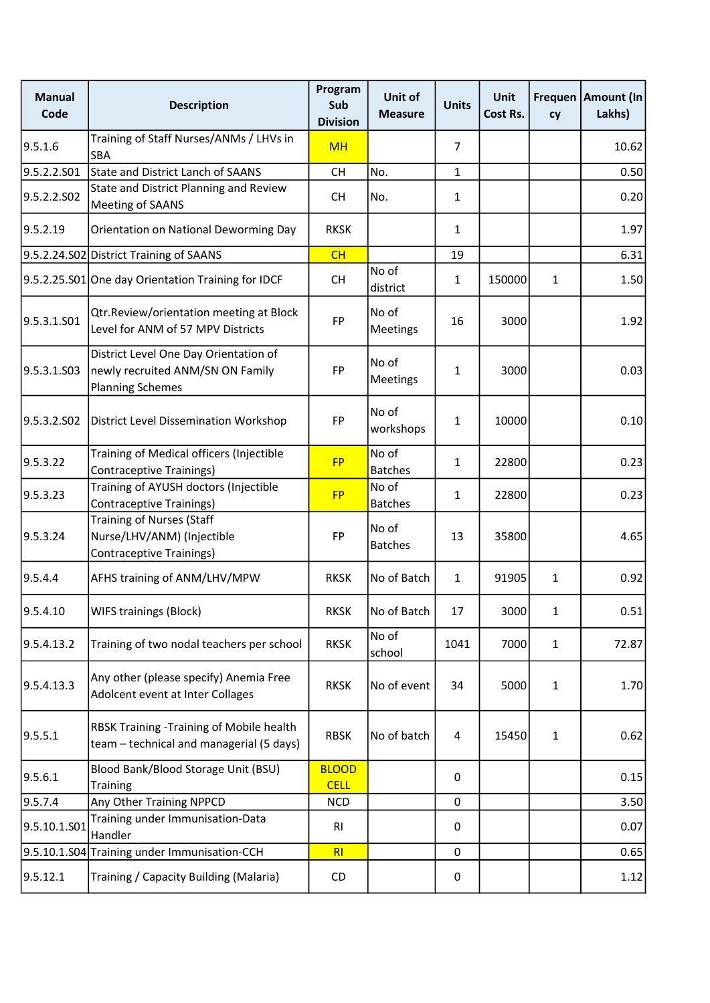| <b>Manual</b><br>Code | <b>Description</b>                                                                                   | Program<br>Sub<br><b>Division</b> | Unit of<br><b>Measure</b> | <b>Units</b>   | Unit<br>Cost Rs. | cy           | Frequen   Amount (In<br>Lakhs) |
|-----------------------|------------------------------------------------------------------------------------------------------|-----------------------------------|---------------------------|----------------|------------------|--------------|--------------------------------|
| 9.5.1.6               | Training of Staff Nurses/ANMs / LHVs in<br>SBA                                                       | <b>MH</b>                         |                           | $\overline{7}$ |                  |              | 10.62                          |
| 9.5.2.2.S01           | State and District Lanch of SAANS                                                                    | <b>CH</b>                         | No.                       | $\mathbf{1}$   |                  |              | 0.50                           |
| 9.5.2.2.502           | State and District Planning and Review<br><b>Meeting of SAANS</b>                                    | <b>CH</b>                         | No.                       | 1              |                  |              | 0.20                           |
| 9.5.2.19              | Orientation on National Deworming Day                                                                | <b>RKSK</b>                       |                           | 1              |                  |              | 1.97                           |
|                       | 9.5.2.24.S02 District Training of SAANS                                                              | CH                                |                           | 19             |                  |              | 6.31                           |
|                       | 9.5.2.25.S01 One day Orientation Training for IDCF                                                   | <b>CH</b>                         | No of<br>district         | 1              | 150000           | $\mathbf{1}$ | 1.50                           |
| 9.5.3.1.S01           | Qtr.Review/orientation meeting at Block<br>Level for ANM of 57 MPV Districts                         | FP                                | No of<br>Meetings         | 16             | 3000             |              | 1.92                           |
| 9.5.3.1.S03           | District Level One Day Orientation of<br>newly recruited ANM/SN ON Family<br><b>Planning Schemes</b> | FP                                | No of<br>Meetings         | 1              | 3000             |              | 0.03                           |
| 9.5.3.2.SO2           | <b>District Level Dissemination Workshop</b>                                                         | FP                                | No of<br>workshops        | 1              | 10000            |              | 0.10                           |
| 9.5.3.22              | Training of Medical officers (Injectible<br><b>Contraceptive Trainings)</b>                          | <b>FP</b>                         | No of<br><b>Batches</b>   | 1              | 22800            |              | 0.23                           |
| 9.5.3.23              | Training of AYUSH doctors (Injectible<br><b>Contraceptive Trainings)</b>                             | <b>FP</b>                         | No of<br><b>Batches</b>   | 1              | 22800            |              | 0.23                           |
| 9.5.3.24              | <b>Training of Nurses (Staff</b><br>Nurse/LHV/ANM) (Injectible<br>Contraceptive Trainings)           | FP                                | No of<br><b>Batches</b>   | 13             | 35800            |              | 4.65                           |
| 9.5.4.4               | AFHS training of ANM/LHV/MPW                                                                         | <b>RKSK</b>                       | No of Batch               | $\mathbf{1}$   | 91905            | $\mathbf{1}$ | 0.92                           |
| 9.5.4.10              | <b>WIFS trainings (Block)</b>                                                                        | <b>RKSK</b>                       | No of Batch               | 17             | 3000             | 1            | 0.51                           |
| 9.5.4.13.2            | Training of two nodal teachers per school                                                            | <b>RKSK</b>                       | No of<br>school           | 1041           | 7000             | $\mathbf{1}$ | 72.87                          |
| 9.5.4.13.3            | Any other (please specify) Anemia Free<br>Adolcent event at Inter Collages                           | <b>RKSK</b>                       | No of event               | 34             | 5000             | $\mathbf{1}$ | 1.70                           |
| 9.5.5.1               | RBSK Training - Training of Mobile health<br>team - technical and managerial (5 days)                | <b>RBSK</b>                       | No of batch               | $\overline{4}$ | 15450            | $\mathbf{1}$ | 0.62                           |
| 9.5.6.1               | Blood Bank/Blood Storage Unit (BSU)<br>Training                                                      | <b>BLOOD</b><br><b>CELL</b>       |                           | 0              |                  |              | 0.15                           |
| 9.5.7.4               | Any Other Training NPPCD                                                                             | <b>NCD</b>                        |                           | 0              |                  |              | 3.50                           |
| 9.5.10.1.S01          | Training under Immunisation-Data<br>Handler                                                          | R <sub>1</sub>                    |                           | 0              |                  |              | 0.07                           |
|                       | 9.5.10.1.S04 Training under Immunisation-CCH                                                         | RI                                |                           | 0              |                  |              | 0.65                           |
| 9.5.12.1              | Training / Capacity Building (Malaria)                                                               | CD                                |                           | 0              |                  |              | 1.12                           |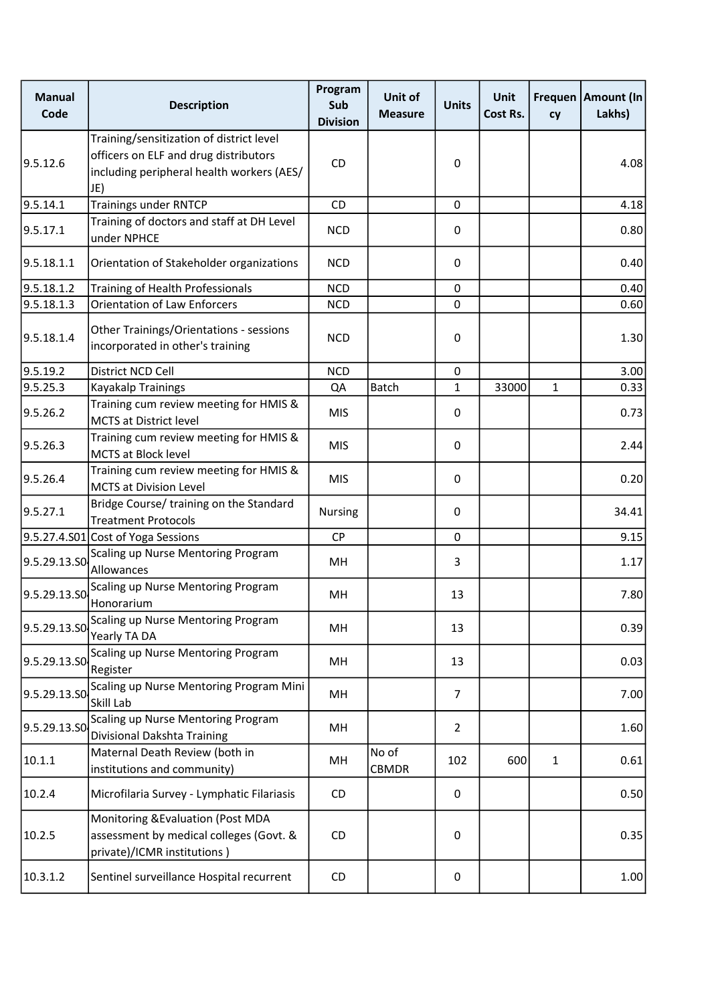| <b>Manual</b><br>Code | <b>Description</b>                                                                                                                    | Program<br>Sub<br><b>Division</b> | Unit of<br><b>Measure</b> | <b>Units</b>   | Unit<br>Cost Rs. | cy           | Frequen Amount (In<br>Lakhs) |
|-----------------------|---------------------------------------------------------------------------------------------------------------------------------------|-----------------------------------|---------------------------|----------------|------------------|--------------|------------------------------|
| 9.5.12.6              | Training/sensitization of district level<br>officers on ELF and drug distributors<br>including peripheral health workers (AES/<br>JE) | <b>CD</b>                         |                           | 0              |                  |              | 4.08                         |
| 9.5.14.1              | <b>Trainings under RNTCP</b>                                                                                                          | CD                                |                           | 0              |                  |              | 4.18                         |
| 9.5.17.1              | Training of doctors and staff at DH Level<br>under NPHCE                                                                              | <b>NCD</b>                        |                           | 0              |                  |              | 0.80                         |
| 9.5.18.1.1            | Orientation of Stakeholder organizations                                                                                              | <b>NCD</b>                        |                           | 0              |                  |              | 0.40                         |
| 9.5.18.1.2            | Training of Health Professionals                                                                                                      | <b>NCD</b>                        |                           | 0              |                  |              | 0.40                         |
| 9.5.18.1.3            | <b>Orientation of Law Enforcers</b>                                                                                                   | <b>NCD</b>                        |                           | $\mathbf 0$    |                  |              | 0.60                         |
| 9.5.18.1.4            | Other Trainings/Orientations - sessions<br>incorporated in other's training                                                           | <b>NCD</b>                        |                           | 0              |                  |              | 1.30                         |
| 9.5.19.2              | District NCD Cell                                                                                                                     | <b>NCD</b>                        |                           | 0              |                  |              | 3.00                         |
| 9.5.25.3              | Kayakalp Trainings                                                                                                                    | QA                                | <b>Batch</b>              | 1              | 33000            | $\mathbf{1}$ | 0.33                         |
| 9.5.26.2              | Training cum review meeting for HMIS &<br><b>MCTS at District level</b>                                                               | <b>MIS</b>                        |                           | 0              |                  |              | 0.73                         |
| 9.5.26.3              | Training cum review meeting for HMIS &<br><b>MCTS at Block level</b>                                                                  | <b>MIS</b>                        |                           | $\pmb{0}$      |                  |              | 2.44                         |
| 9.5.26.4              | Training cum review meeting for HMIS &<br><b>MCTS at Division Level</b>                                                               | <b>MIS</b>                        |                           | $\pmb{0}$      |                  |              | 0.20                         |
| 9.5.27.1              | Bridge Course/ training on the Standard<br><b>Treatment Protocols</b>                                                                 | Nursing                           |                           | 0              |                  |              | 34.41                        |
|                       | 9.5.27.4.S01 Cost of Yoga Sessions                                                                                                    | CP                                |                           | $\mathbf 0$    |                  |              | 9.15                         |
| 9.5.29.13.SO          | Scaling up Nurse Mentoring Program<br>Allowances                                                                                      | MH                                |                           | 3              |                  |              | 1.17                         |
| 9.5.29.13.SO          | Scaling up Nurse Mentoring Program<br>Honorarium                                                                                      | MH                                |                           | 13             |                  |              | 7.80                         |
| 9.5.29.13.SO          | Scaling up Nurse Mentoring Program<br>Yearly TA DA                                                                                    | MH                                |                           | 13             |                  |              | 0.39                         |
| 9.5.29.13.SO          | Scaling up Nurse Mentoring Program<br>Register                                                                                        | MН                                |                           | 13             |                  |              | 0.03                         |
| 9.5.29.13.SO          | Scaling up Nurse Mentoring Program Mini<br>Skill Lab                                                                                  | MН                                |                           | 7              |                  |              | 7.00                         |
| 9.5.29.13.SO          | Scaling up Nurse Mentoring Program<br>Divisional Dakshta Training                                                                     | MH                                |                           | $\overline{2}$ |                  |              | 1.60                         |
| 10.1.1                | Maternal Death Review (both in<br>institutions and community)                                                                         | MН                                | No of<br><b>CBMDR</b>     | 102            | 600              | $\mathbf{1}$ | 0.61                         |
| 10.2.4                | Microfilaria Survey - Lymphatic Filariasis                                                                                            | CD                                |                           | 0              |                  |              | 0.50                         |
| 10.2.5                | Monitoring & Evaluation (Post MDA<br>assessment by medical colleges (Govt. &<br>private)/ICMR institutions)                           | CD                                |                           | $\pmb{0}$      |                  |              | 0.35                         |
| 10.3.1.2              | Sentinel surveillance Hospital recurrent                                                                                              | <b>CD</b>                         |                           | 0              |                  |              | 1.00                         |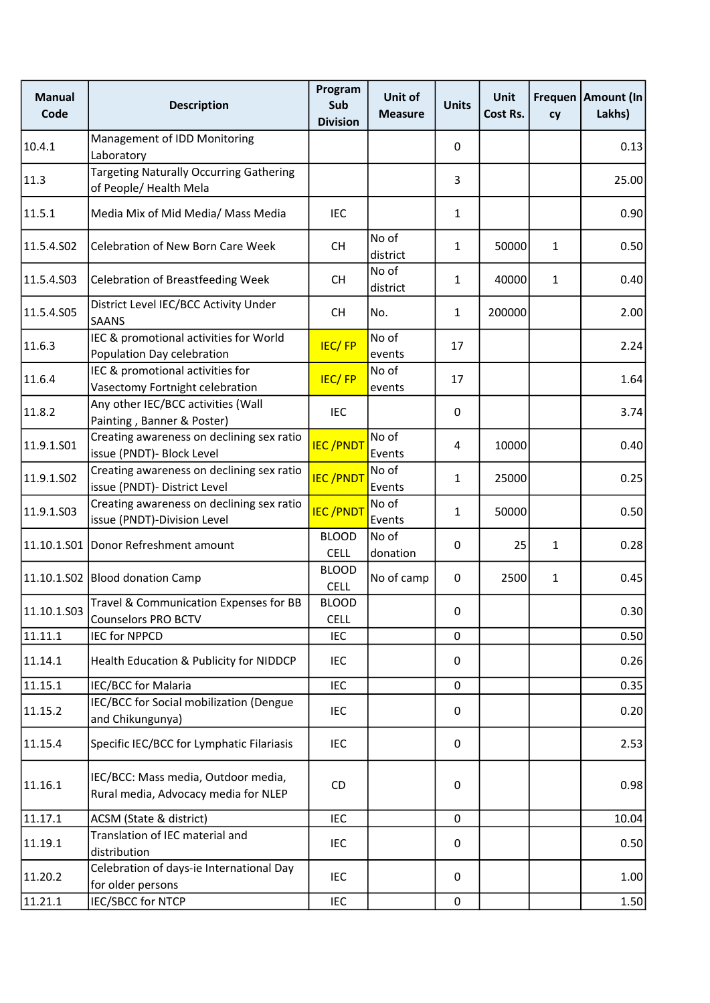| <b>Manual</b><br>Code | <b>Description</b>                                                          | Program<br>Sub<br><b>Division</b> | Unit of<br><b>Measure</b> | <b>Units</b> | <b>Unit</b><br>Cost Rs. | cy           | Frequen   Amount (In<br>Lakhs) |
|-----------------------|-----------------------------------------------------------------------------|-----------------------------------|---------------------------|--------------|-------------------------|--------------|--------------------------------|
| 10.4.1                | Management of IDD Monitoring<br>Laboratory                                  |                                   |                           | 0            |                         |              | 0.13                           |
| 11.3                  | <b>Targeting Naturally Occurring Gathering</b><br>of People/ Health Mela    |                                   |                           | 3            |                         |              | 25.00                          |
| 11.5.1                | Media Mix of Mid Media/ Mass Media                                          | <b>IEC</b>                        |                           | 1            |                         |              | 0.90                           |
| 11.5.4.S02            | Celebration of New Born Care Week                                           | <b>CH</b>                         | No of<br>district         | 1            | 50000                   | $\mathbf{1}$ | 0.50                           |
| 11.5.4.S03            | <b>Celebration of Breastfeeding Week</b>                                    | <b>CH</b>                         | No of<br>district         | 1            | 40000                   | $\mathbf{1}$ | 0.40                           |
| 11.5.4.S05            | District Level IEC/BCC Activity Under<br><b>SAANS</b>                       | <b>CH</b>                         | No.                       | $\mathbf{1}$ | 200000                  |              | 2.00                           |
| 11.6.3                | IEC & promotional activities for World<br>Population Day celebration        | <b>IEC/FP</b>                     | No of<br>events           | 17           |                         |              | 2.24                           |
| 11.6.4                | IEC & promotional activities for<br>Vasectomy Fortnight celebration         | <b>IEC/FP</b>                     | No of<br>events           | 17           |                         |              | 1.64                           |
| 11.8.2                | Any other IEC/BCC activities (Wall<br>Painting, Banner & Poster)            | <b>IEC</b>                        |                           | 0            |                         |              | 3.74                           |
| 11.9.1.S01            | Creating awareness on declining sex ratio<br>issue (PNDT)- Block Level      | <b>IEC/PNDT</b>                   | No of<br>Events           | 4            | 10000                   |              | 0.40                           |
| 11.9.1.S02            | Creating awareness on declining sex ratio<br>issue (PNDT)- District Level   | <b>IEC/PNDT</b>                   | No of<br>Events           | 1            | 25000                   |              | 0.25                           |
| 11.9.1.S03            | Creating awareness on declining sex ratio<br>issue (PNDT)-Division Level    | <b>IEC/PNDT</b>                   | No of<br>Events           | 1            | 50000                   |              | 0.50                           |
| 11.10.1.501           | Donor Refreshment amount                                                    | <b>BLOOD</b><br><b>CELL</b>       | No of<br>donation         | $\mathbf 0$  | 25                      | $\mathbf{1}$ | 0.28                           |
|                       | 11.10.1.S02 Blood donation Camp                                             | <b>BLOOD</b><br><b>CELL</b>       | No of camp                | 0            | 2500                    | $\mathbf{1}$ | 0.45                           |
| 11.10.1.503           | Travel & Communication Expenses for BB<br><b>Counselors PRO BCTV</b>        | <b>BLOOD</b><br>CELL              |                           | 0            |                         |              | 0.30                           |
| 11.11.1               | <b>IEC for NPPCD</b>                                                        | <b>IEC</b>                        |                           | $\mathbf 0$  |                         |              | 0.50                           |
| 11.14.1               | Health Education & Publicity for NIDDCP                                     | <b>IEC</b>                        |                           | 0            |                         |              | 0.26                           |
| 11.15.1               | IEC/BCC for Malaria                                                         | <b>IEC</b>                        |                           | $\mathbf 0$  |                         |              | 0.35                           |
| 11.15.2               | IEC/BCC for Social mobilization (Dengue<br>and Chikungunya)                 | IEC                               |                           | 0            |                         |              | 0.20                           |
| 11.15.4               | Specific IEC/BCC for Lymphatic Filariasis                                   | IEC                               |                           | 0            |                         |              | 2.53                           |
| 11.16.1               | IEC/BCC: Mass media, Outdoor media,<br>Rural media, Advocacy media for NLEP | CD                                |                           | 0            |                         |              | 0.98                           |
| 11.17.1               | ACSM (State & district)                                                     | <b>IEC</b>                        |                           | 0            |                         |              | 10.04                          |
| 11.19.1               | Translation of IEC material and<br>distribution                             | IEC                               |                           | 0            |                         |              | 0.50                           |
| 11.20.2               | Celebration of days-ie International Day<br>for older persons               | IEC                               |                           | 0            |                         |              | 1.00                           |
| 11.21.1               | IEC/SBCC for NTCP                                                           | IEC                               |                           | $\mathbf 0$  |                         |              | 1.50                           |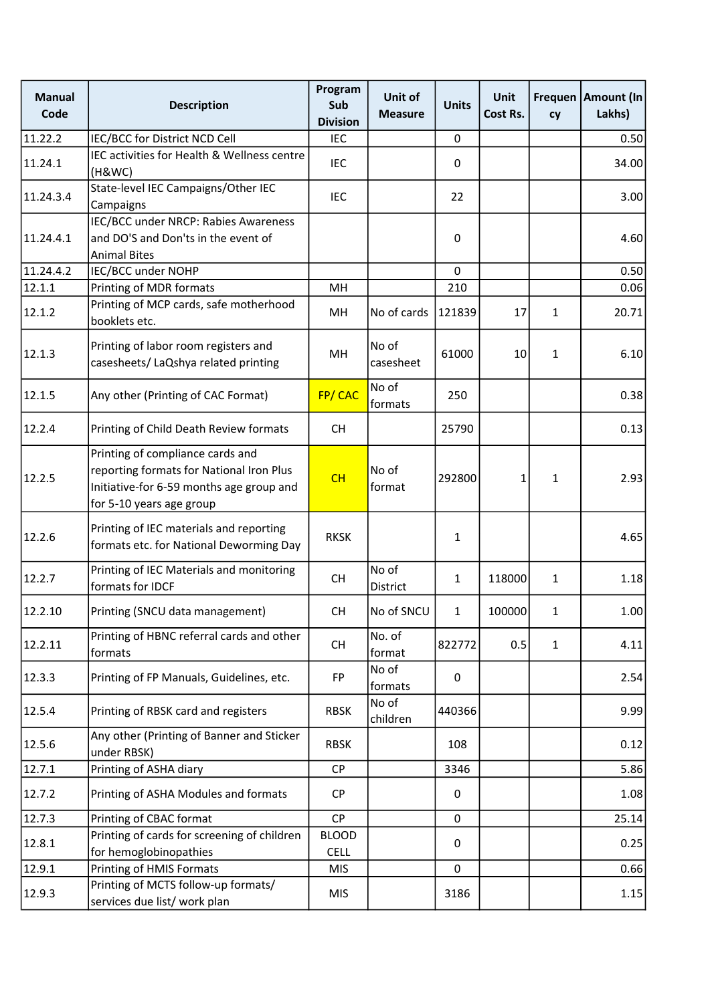| <b>Manual</b><br>Code | <b>Description</b>                                                                                                                                   | Program<br>Sub<br><b>Division</b> | Unit of<br><b>Measure</b> | <b>Units</b> | <b>Unit</b><br>Cost Rs. | cy           | Frequen   Amount (In<br>Lakhs) |
|-----------------------|------------------------------------------------------------------------------------------------------------------------------------------------------|-----------------------------------|---------------------------|--------------|-------------------------|--------------|--------------------------------|
| 11.22.2               | IEC/BCC for District NCD Cell                                                                                                                        | IEC                               |                           | 0            |                         |              | 0.50                           |
| 11.24.1               | IEC activities for Health & Wellness centre<br>(H&WC)                                                                                                | <b>IEC</b>                        |                           | 0            |                         |              | 34.00                          |
| 11.24.3.4             | State-level IEC Campaigns/Other IEC<br>Campaigns                                                                                                     | <b>IEC</b>                        |                           | 22           |                         |              | 3.00                           |
| 11.24.4.1             | IEC/BCC under NRCP: Rabies Awareness<br>and DO'S and Don'ts in the event of<br><b>Animal Bites</b>                                                   |                                   |                           | $\mathbf 0$  |                         |              | 4.60                           |
| 11.24.4.2             | IEC/BCC under NOHP                                                                                                                                   |                                   |                           | $\Omega$     |                         |              | 0.50                           |
| 12.1.1                | Printing of MDR formats                                                                                                                              | MH                                |                           | 210          |                         |              | 0.06                           |
| 12.1.2                | Printing of MCP cards, safe motherhood<br>booklets etc.                                                                                              | MH                                | No of cards               | 121839       | 17                      | $\mathbf{1}$ | 20.71                          |
| 12.1.3                | Printing of labor room registers and<br>casesheets/ LaQshya related printing                                                                         | MH                                | No of<br>casesheet        | 61000        | 10                      | $\mathbf{1}$ | 6.10                           |
| 12.1.5                | Any other (Printing of CAC Format)                                                                                                                   | FP/CAC                            | No of<br> formats         | 250          |                         |              | 0.38                           |
| 12.2.4                | Printing of Child Death Review formats                                                                                                               | <b>CH</b>                         |                           | 25790        |                         |              | 0.13                           |
| 12.2.5                | Printing of compliance cards and<br>reporting formats for National Iron Plus<br>Initiative-for 6-59 months age group and<br>for 5-10 years age group | CH                                | No of<br>format           | 292800       | 1                       | $\mathbf{1}$ | 2.93                           |
| 12.2.6                | Printing of IEC materials and reporting<br>formats etc. for National Deworming Day                                                                   | <b>RKSK</b>                       |                           | 1            |                         |              | 4.65                           |
| 12.2.7                | Printing of IEC Materials and monitoring<br>formats for IDCF                                                                                         | <b>CH</b>                         | No of<br>District         | $\mathbf{1}$ | 118000                  | $\mathbf{1}$ | 1.18                           |
| 12.2.10               | Printing (SNCU data management)                                                                                                                      | <b>CH</b>                         | No of SNCU                | 1            | 100000                  | 1            | 1.00                           |
| 12.2.11               | Printing of HBNC referral cards and other<br>formats                                                                                                 | <b>CH</b>                         | No. of<br>format          | 822772       | 0.5                     | $\mathbf{1}$ | 4.11                           |
| 12.3.3                | Printing of FP Manuals, Guidelines, etc.                                                                                                             | <b>FP</b>                         | No of<br>formats          | 0            |                         |              | 2.54                           |
| 12.5.4                | Printing of RBSK card and registers                                                                                                                  | <b>RBSK</b>                       | No of<br>children         | 440366       |                         |              | 9.99                           |
| 12.5.6                | Any other (Printing of Banner and Sticker<br>under RBSK)                                                                                             | <b>RBSK</b>                       |                           | 108          |                         |              | 0.12                           |
| 12.7.1                | Printing of ASHA diary                                                                                                                               | <b>CP</b>                         |                           | 3346         |                         |              | 5.86                           |
| 12.7.2                | Printing of ASHA Modules and formats                                                                                                                 | <b>CP</b>                         |                           | 0            |                         |              | 1.08                           |
| 12.7.3                | Printing of CBAC format                                                                                                                              | <b>CP</b>                         |                           | 0            |                         |              | 25.14                          |
| 12.8.1                | Printing of cards for screening of children<br>for hemoglobinopathies                                                                                | <b>BLOOD</b><br><b>CELL</b>       |                           | 0            |                         |              | 0.25                           |
| 12.9.1                | Printing of HMIS Formats                                                                                                                             | <b>MIS</b>                        |                           | 0            |                         |              | 0.66                           |
| 12.9.3                | Printing of MCTS follow-up formats/<br>services due list/ work plan                                                                                  | <b>MIS</b>                        |                           | 3186         |                         |              | 1.15                           |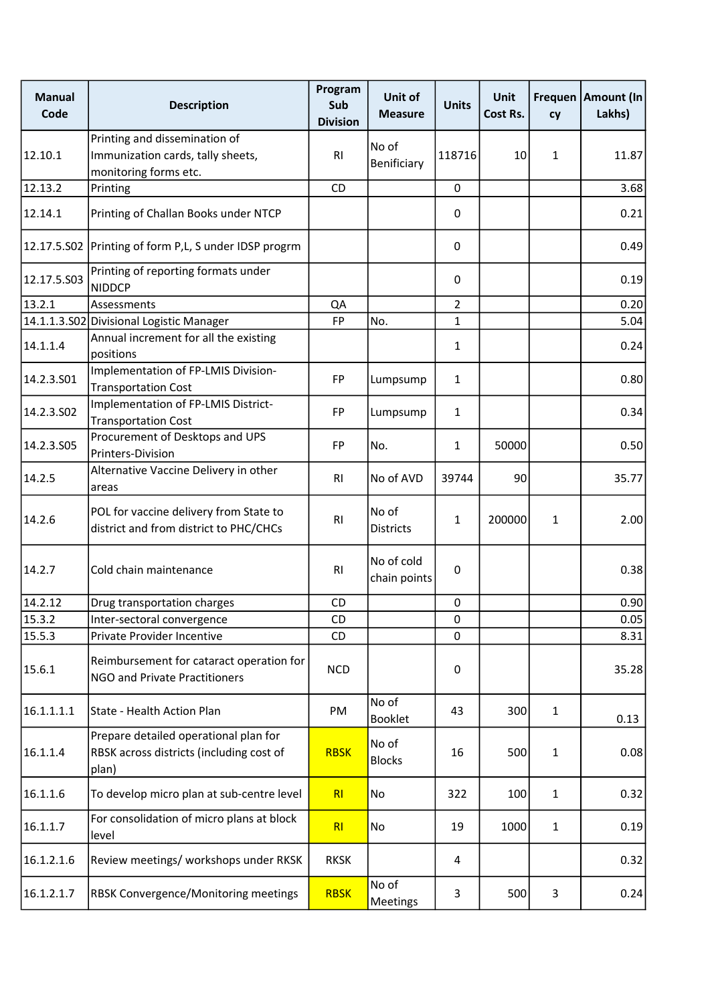| <b>Manual</b><br>Code | <b>Description</b>                                                                          | Program<br>Sub<br><b>Division</b> | Unit of<br><b>Measure</b>  | <b>Units</b>   | <b>Unit</b><br>Cost Rs. | cy           | Frequen   Amount (In<br>Lakhs) |
|-----------------------|---------------------------------------------------------------------------------------------|-----------------------------------|----------------------------|----------------|-------------------------|--------------|--------------------------------|
| 12.10.1               | Printing and dissemination of<br>Immunization cards, tally sheets,<br>monitoring forms etc. | R <sub>l</sub>                    | No of<br>Benificiary       | 118716         | 10                      | $\mathbf{1}$ | 11.87                          |
| 12.13.2               | Printing                                                                                    | CD                                |                            | 0              |                         |              | 3.68                           |
| 12.14.1               | Printing of Challan Books under NTCP                                                        |                                   |                            | 0              |                         |              | 0.21                           |
|                       | 12.17.5.S02 Printing of form P,L, S under IDSP progrm                                       |                                   |                            | 0              |                         |              | 0.49                           |
| 12.17.5.S03           | Printing of reporting formats under<br><b>NIDDCP</b>                                        |                                   |                            | 0              |                         |              | 0.19                           |
| 13.2.1                | Assessments                                                                                 | QA                                |                            | $\overline{2}$ |                         |              | 0.20                           |
|                       | 14.1.1.3.S02 Divisional Logistic Manager                                                    | <b>FP</b>                         | No.                        | 1              |                         |              | 5.04                           |
| 14.1.1.4              | Annual increment for all the existing<br>positions                                          |                                   |                            | 1              |                         |              | 0.24                           |
| 14.2.3.501            | Implementation of FP-LMIS Division-<br><b>Transportation Cost</b>                           | <b>FP</b>                         | Lumpsump                   | 1              |                         |              | 0.80                           |
| 14.2.3.502            | Implementation of FP-LMIS District-<br><b>Transportation Cost</b>                           | <b>FP</b>                         | Lumpsump                   | 1              |                         |              | 0.34                           |
| 14.2.3.505            | Procurement of Desktops and UPS<br>Printers-Division                                        | <b>FP</b>                         | No.                        | $\mathbf{1}$   | 50000                   |              | 0.50                           |
| 14.2.5                | Alternative Vaccine Delivery in other<br>areas                                              | R <sub>l</sub>                    | No of AVD                  | 39744          | 90                      |              | 35.77                          |
| 14.2.6                | POL for vaccine delivery from State to<br>district and from district to PHC/CHCs            | R <sub>l</sub>                    | No of<br><b>Districts</b>  | $\mathbf{1}$   | 200000                  | $\mathbf{1}$ | 2.00                           |
| 14.2.7                | Cold chain maintenance                                                                      | R <sub>l</sub>                    | No of cold<br>chain points | 0              |                         |              | 0.38                           |
| 14.2.12               | Drug transportation charges                                                                 | CD                                |                            | 0              |                         |              | 0.90                           |
| 15.3.2                | Inter-sectoral convergence                                                                  | CD                                |                            | 0              |                         |              | 0.05                           |
| 15.5.3                | Private Provider Incentive                                                                  | CD                                |                            | 0              |                         |              | 8.31                           |
| 15.6.1                | Reimbursement for cataract operation for<br><b>NGO and Private Practitioners</b>            | <b>NCD</b>                        |                            | 0              |                         |              | 35.28                          |
| 16.1.1.1.1            | State - Health Action Plan                                                                  | PM                                | No of<br><b>Booklet</b>    | 43             | 300                     | $\mathbf{1}$ | 0.13                           |
| 16.1.1.4              | Prepare detailed operational plan for<br>RBSK across districts (including cost of<br>plan)  | <b>RBSK</b>                       | No of<br><b>Blocks</b>     | 16             | 500                     | $\mathbf{1}$ | 0.08                           |
| 16.1.1.6              | To develop micro plan at sub-centre level                                                   | R <sub>l</sub>                    | No                         | 322            | 100                     | $\mathbf{1}$ | 0.32                           |
| 16.1.1.7              | For consolidation of micro plans at block<br>level                                          | RI                                | No                         | 19             | 1000                    | $\mathbf{1}$ | 0.19                           |
| 16.1.2.1.6            | Review meetings/ workshops under RKSK                                                       | <b>RKSK</b>                       |                            | 4              |                         |              | 0.32                           |
| 16.1.2.1.7            | RBSK Convergence/Monitoring meetings                                                        | <b>RBSK</b>                       | No of<br>Meetings          | 3              | 500                     | 3            | 0.24                           |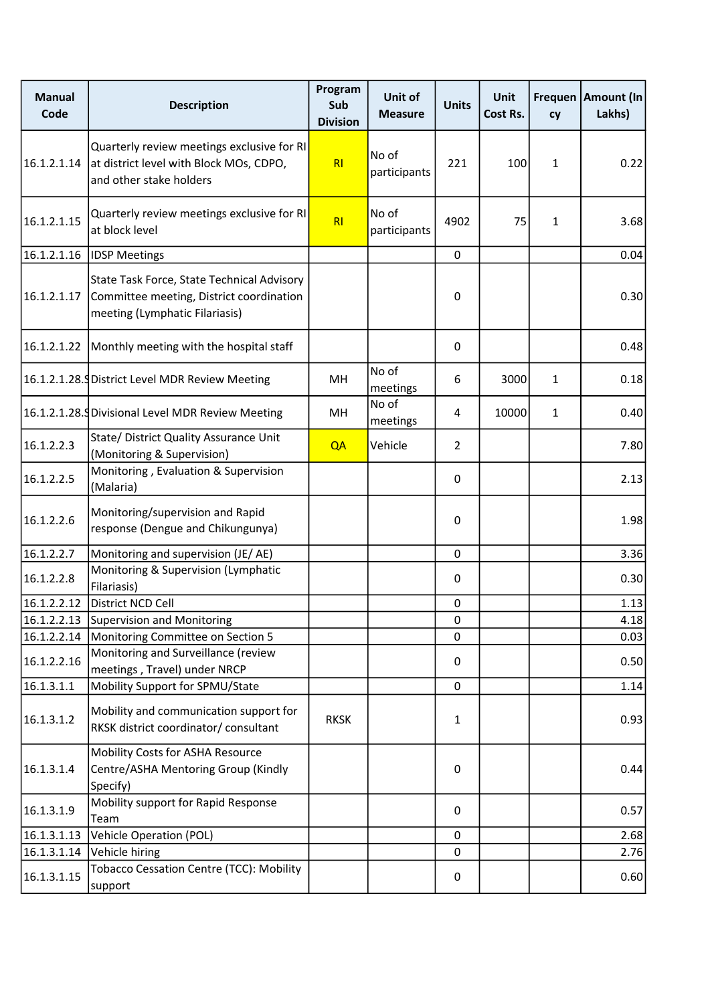| <b>Manual</b><br>Code | <b>Description</b>                                                                                                       | Program<br>Sub<br><b>Division</b> | Unit of<br><b>Measure</b> | <b>Units</b>   | <b>Unit</b><br>Cost Rs. | cy           | Frequen   Amount (In<br>Lakhs) |
|-----------------------|--------------------------------------------------------------------------------------------------------------------------|-----------------------------------|---------------------------|----------------|-------------------------|--------------|--------------------------------|
| 16.1.2.1.14           | Quarterly review meetings exclusive for RI<br>at district level with Block MOs, CDPO,<br>and other stake holders         | RI                                | No of<br>participants     | 221            | 100                     | $\mathbf{1}$ | 0.22                           |
| 16.1.2.1.15           | Quarterly review meetings exclusive for RI<br>at block level                                                             | RI                                | No of<br>participants     | 4902           | 75                      | $\mathbf{1}$ | 3.68                           |
| 16.1.2.1.16           | <b>IDSP Meetings</b>                                                                                                     |                                   |                           | $\mathbf 0$    |                         |              | 0.04                           |
| 16.1.2.1.17           | State Task Force, State Technical Advisory<br>Committee meeting, District coordination<br>meeting (Lymphatic Filariasis) |                                   |                           | 0              |                         |              | 0.30                           |
| 16.1.2.1.22           | Monthly meeting with the hospital staff                                                                                  |                                   |                           | 0              |                         |              | 0.48                           |
|                       | 16.1.2.1.28. District Level MDR Review Meeting                                                                           | MH.                               | No of<br>meetings         | 6              | 3000                    | $\mathbf{1}$ | 0.18                           |
|                       | 16.1.2.1.28. Divisional Level MDR Review Meeting                                                                         | MН                                | No of<br>meetings         | 4              | 10000                   | $\mathbf{1}$ | 0.40                           |
| 16.1.2.2.3            | State/ District Quality Assurance Unit<br>(Monitoring & Supervision)                                                     | QA                                | Vehicle                   | $\overline{2}$ |                         |              | 7.80                           |
| 16.1.2.2.5            | Monitoring, Evaluation & Supervision<br>(Malaria)                                                                        |                                   |                           | 0              |                         |              | 2.13                           |
| 16.1.2.2.6            | Monitoring/supervision and Rapid<br>response (Dengue and Chikungunya)                                                    |                                   |                           | 0              |                         |              | 1.98                           |
| 16.1.2.2.7            | Monitoring and supervision (JE/AE)                                                                                       |                                   |                           | 0              |                         |              | 3.36                           |
| 16.1.2.2.8            | Monitoring & Supervision (Lymphatic<br>Filariasis)                                                                       |                                   |                           | 0              |                         |              | 0.30                           |
| 16.1.2.2.12           | District NCD Cell                                                                                                        |                                   |                           | 0              |                         |              | 1.13                           |
| 16.1.2.2.13           | <b>Supervision and Monitoring</b>                                                                                        |                                   |                           | 0              |                         |              | 4.18                           |
| 16.1.2.2.14           | Monitoring Committee on Section 5                                                                                        |                                   |                           | 0              |                         |              | 0.03                           |
| 16.1.2.2.16           | Monitoring and Surveillance (review<br>meetings, Travel) under NRCP                                                      |                                   |                           | 0              |                         |              | 0.50                           |
| 16.1.3.1.1            | Mobility Support for SPMU/State                                                                                          |                                   |                           | 0              |                         |              | 1.14                           |
| 16.1.3.1.2            | Mobility and communication support for<br>RKSK district coordinator/ consultant                                          | <b>RKSK</b>                       |                           | 1              |                         |              | 0.93                           |
| 16.1.3.1.4            | Mobility Costs for ASHA Resource<br>Centre/ASHA Mentoring Group (Kindly<br>Specify)                                      |                                   |                           | 0              |                         |              | 0.44                           |
| 16.1.3.1.9            | Mobility support for Rapid Response<br>Team                                                                              |                                   |                           | 0              |                         |              | 0.57                           |
| 16.1.3.1.13           | <b>Vehicle Operation (POL)</b>                                                                                           |                                   |                           | 0              |                         |              | 2.68                           |
| 16.1.3.1.14           | Vehicle hiring                                                                                                           |                                   |                           | 0              |                         |              | 2.76                           |
| 16.1.3.1.15           | Tobacco Cessation Centre (TCC): Mobility<br>support                                                                      |                                   |                           | 0              |                         |              | 0.60                           |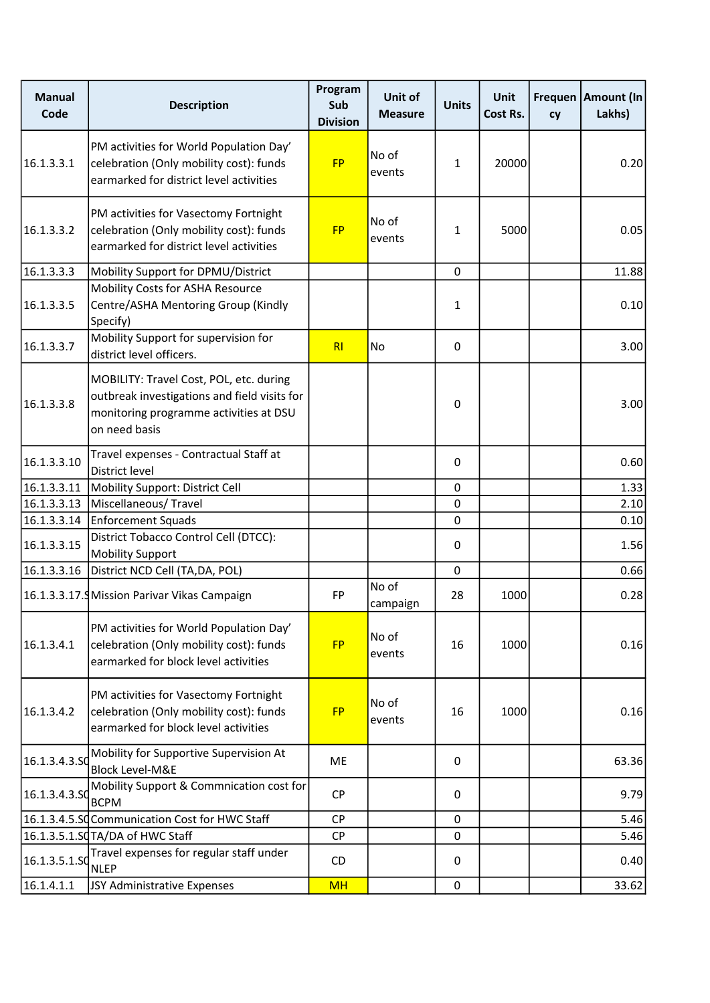| <b>Manual</b><br>Code | <b>Description</b>                                                                                                                                 | Program<br>Sub<br><b>Division</b> | Unit of<br><b>Measure</b> | <b>Units</b> | <b>Unit</b><br>Cost Rs. | cy | Frequen   Amount (In<br>Lakhs) |
|-----------------------|----------------------------------------------------------------------------------------------------------------------------------------------------|-----------------------------------|---------------------------|--------------|-------------------------|----|--------------------------------|
| 16.1.3.3.1            | PM activities for World Population Day'<br>celebration (Only mobility cost): funds<br>earmarked for district level activities                      | <b>FP</b>                         | No of<br>events           | 1            | 20000                   |    | 0.20                           |
| 16.1.3.3.2            | PM activities for Vasectomy Fortnight<br>celebration (Only mobility cost): funds<br>earmarked for district level activities                        | <b>FP</b>                         | No of<br>events           | 1            | 5000                    |    | 0.05                           |
| 16.1.3.3.3            | Mobility Support for DPMU/District                                                                                                                 |                                   |                           | 0            |                         |    | 11.88                          |
| 16.1.3.3.5            | Mobility Costs for ASHA Resource<br>Centre/ASHA Mentoring Group (Kindly<br>Specify)                                                                |                                   |                           | 1            |                         |    | 0.10                           |
| 16.1.3.3.7            | Mobility Support for supervision for<br>district level officers.                                                                                   | R <sub>l</sub>                    | No                        | 0            |                         |    | 3.00                           |
| 16.1.3.3.8            | MOBILITY: Travel Cost, POL, etc. during<br>outbreak investigations and field visits for<br>monitoring programme activities at DSU<br>on need basis |                                   |                           | 0            |                         |    | 3.00                           |
| 16.1.3.3.10           | Travel expenses - Contractual Staff at<br>District level                                                                                           |                                   |                           | $\Omega$     |                         |    | 0.60                           |
| 16.1.3.3.11           | Mobility Support: District Cell                                                                                                                    |                                   |                           | 0            |                         |    | 1.33                           |
| 16.1.3.3.13           | Miscellaneous/Travel                                                                                                                               |                                   |                           | 0            |                         |    | 2.10                           |
| 16.1.3.3.14           | <b>Enforcement Squads</b>                                                                                                                          |                                   |                           | 0            |                         |    | 0.10                           |
| 16.1.3.3.15           | District Tobacco Control Cell (DTCC):<br><b>Mobility Support</b>                                                                                   |                                   |                           | $\pmb{0}$    |                         |    | 1.56                           |
| 16.1.3.3.16           | District NCD Cell (TA, DA, POL)                                                                                                                    |                                   |                           | $\Omega$     |                         |    | 0.66                           |
|                       | 16.1.3.3.17. Mission Parivar Vikas Campaign                                                                                                        | <b>FP</b>                         | No of<br>campaign         | 28           | 1000                    |    | 0.28                           |
| 16.1.3.4.1            | PM activities for World Population Day'<br>celebration (Only mobility cost): funds<br>earmarked for block level activities                         | <b>FP</b>                         | No of<br>events           | 16           | 1000                    |    | 0.16                           |
| 16.1.3.4.2            | PM activities for Vasectomy Fortnight<br>celebration (Only mobility cost): funds<br>earmarked for block level activities                           | <b>FP</b>                         | No of<br>events           | 16           | 1000                    |    | 0.16                           |
| 16.1.3.4.3.SO         | Mobility for Supportive Supervision At<br><b>Block Level-M&amp;E</b>                                                                               | ME                                |                           | 0            |                         |    | 63.36                          |
| 16.1.3.4.3.SO         | Mobility Support & Commnication cost for<br><b>BCPM</b>                                                                                            | <b>CP</b>                         |                           | 0            |                         |    | 9.79                           |
|                       | 16.1.3.4.5.SQ Communication Cost for HWC Staff                                                                                                     | <b>CP</b>                         |                           | 0            |                         |    | 5.46                           |
|                       | 16.1.3.5.1.SQTA/DA of HWC Staff                                                                                                                    | <b>CP</b>                         |                           | 0            |                         |    | 5.46                           |
| 16.1.3.5.1.SO         | Travel expenses for regular staff under<br><b>NLEP</b>                                                                                             | CD                                |                           | 0            |                         |    | 0.40                           |
| 16.1.4.1.1            | JSY Administrative Expenses                                                                                                                        | <b>MH</b>                         |                           | 0            |                         |    | 33.62                          |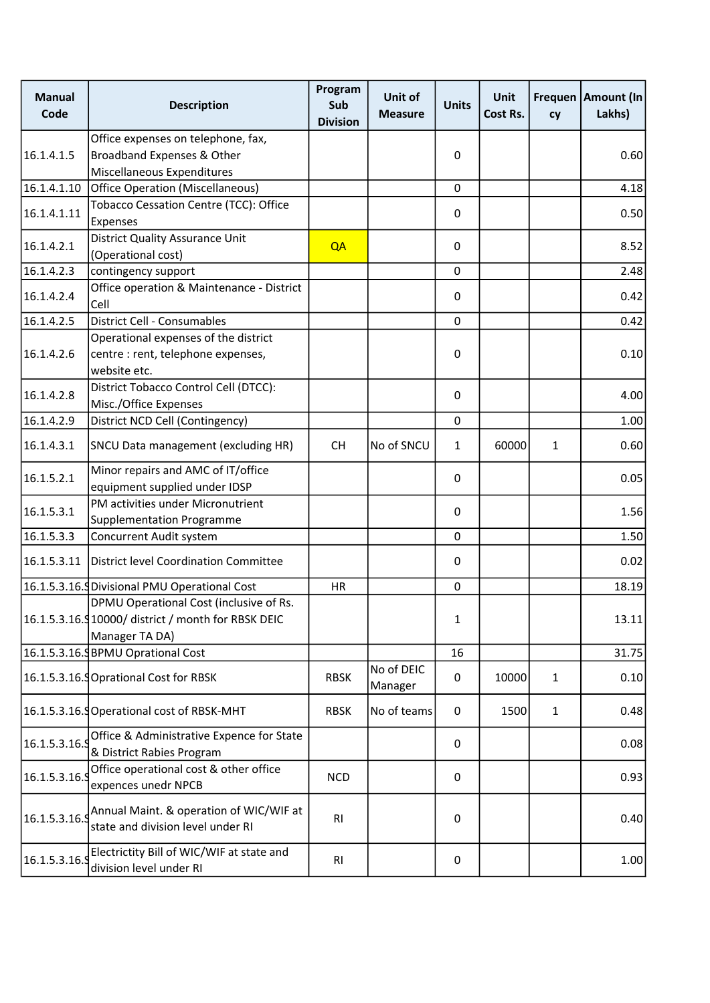| <b>Manual</b><br>Code | <b>Description</b>                                                           | Program<br>Sub<br><b>Division</b> | Unit of<br><b>Measure</b> | <b>Units</b> | <b>Unit</b><br>Cost Rs. | cy           | Frequen   Amount (In<br>Lakhs) |
|-----------------------|------------------------------------------------------------------------------|-----------------------------------|---------------------------|--------------|-------------------------|--------------|--------------------------------|
|                       | Office expenses on telephone, fax,                                           |                                   |                           |              |                         |              |                                |
| 16.1.4.1.5            | Broadband Expenses & Other                                                   |                                   |                           | 0            |                         |              | 0.60                           |
|                       | Miscellaneous Expenditures                                                   |                                   |                           |              |                         |              |                                |
| 16.1.4.1.10           | <b>Office Operation (Miscellaneous)</b>                                      |                                   |                           | 0            |                         |              | 4.18                           |
|                       | Tobacco Cessation Centre (TCC): Office                                       |                                   |                           |              |                         |              |                                |
| 16.1.4.1.11           | Expenses                                                                     |                                   |                           | $\mathbf 0$  |                         |              | 0.50                           |
|                       | <b>District Quality Assurance Unit</b>                                       |                                   |                           |              |                         |              |                                |
| 16.1.4.2.1            | (Operational cost)                                                           | QA                                |                           | 0            |                         |              | 8.52                           |
| 16.1.4.2.3            | contingency support                                                          |                                   |                           | $\pmb{0}$    |                         |              | 2.48                           |
| 16.1.4.2.4            | Office operation & Maintenance - District                                    |                                   |                           | $\mathbf 0$  |                         |              | 0.42                           |
|                       | Cell                                                                         |                                   |                           |              |                         |              |                                |
| 16.1.4.2.5            | District Cell - Consumables                                                  |                                   |                           | $\mathbf 0$  |                         |              | 0.42                           |
|                       | Operational expenses of the district                                         |                                   |                           |              |                         |              |                                |
| 16.1.4.2.6            | centre : rent, telephone expenses,                                           |                                   |                           | $\mathbf 0$  |                         |              | 0.10                           |
|                       | website etc.                                                                 |                                   |                           |              |                         |              |                                |
| 16.1.4.2.8            | District Tobacco Control Cell (DTCC):                                        |                                   |                           | $\mathbf 0$  |                         |              | 4.00                           |
|                       | Misc./Office Expenses                                                        |                                   |                           |              |                         |              |                                |
| 16.1.4.2.9            | District NCD Cell (Contingency)                                              |                                   |                           | $\mathbf 0$  |                         |              | 1.00                           |
| 16.1.4.3.1            | SNCU Data management (excluding HR)                                          | <b>CH</b>                         | No of SNCU                | $\mathbf{1}$ | 60000                   | $\mathbf{1}$ | 0.60                           |
| 16.1.5.2.1            | Minor repairs and AMC of IT/office                                           |                                   |                           |              |                         |              |                                |
|                       | equipment supplied under IDSP                                                |                                   |                           | 0            |                         |              | 0.05                           |
| 16.1.5.3.1            | PM activities under Micronutrient                                            |                                   |                           | 0            |                         |              | 1.56                           |
|                       | Supplementation Programme                                                    |                                   |                           |              |                         |              |                                |
| 16.1.5.3.3            | Concurrent Audit system                                                      |                                   |                           | $\mathbf 0$  |                         |              | 1.50                           |
| 16.1.5.3.11           | <b>District level Coordination Committee</b>                                 |                                   |                           | 0            |                         |              | 0.02                           |
|                       | 16.1.5.3.16. Divisional PMU Operational Cost                                 | HR                                |                           | $\mathbf 0$  |                         |              | 18.19                          |
|                       | DPMU Operational Cost (inclusive of Rs.                                      |                                   |                           |              |                         |              |                                |
|                       | 16.1.5.3.16.910000/district / month for RBSK DEIC                            |                                   |                           | 1            |                         |              | 13.11                          |
|                       | Manager TA DA)                                                               |                                   |                           |              |                         |              |                                |
|                       | 16.1.5.3.16. BPMU Oprational Cost                                            |                                   |                           | 16           |                         |              | 31.75                          |
|                       | 16.1.5.3.16.9 Oprational Cost for RBSK                                       | <b>RBSK</b>                       | No of DEIC<br>Manager     | 0            | 10000                   | $\mathbf{1}$ | 0.10                           |
|                       | 16.1.5.3.16. Operational cost of RBSK-MHT                                    | <b>RBSK</b>                       | No of teams               | 0            | 1500                    | $\mathbf{1}$ | 0.48                           |
|                       | Office & Administrative Expence for State                                    |                                   |                           |              |                         |              |                                |
| 16.1.5.3.16.9         | & District Rabies Program                                                    |                                   |                           | 0            |                         |              | 0.08                           |
|                       | Office operational cost & other office                                       |                                   |                           |              |                         |              |                                |
| 16.1.5.3.16.9         | expences unedr NPCB                                                          | <b>NCD</b>                        |                           | 0            |                         |              | 0.93                           |
| 16.1.5.3.16.9         | Annual Maint. & operation of WIC/WIF at<br>state and division level under RI | R <sub>l</sub>                    |                           | 0            |                         |              | 0.40                           |
| 16.1.5.3.16.9         | Electrictity Bill of WIC/WIF at state and<br>division level under RI         | R <sub>l</sub>                    |                           | 0            |                         |              | 1.00                           |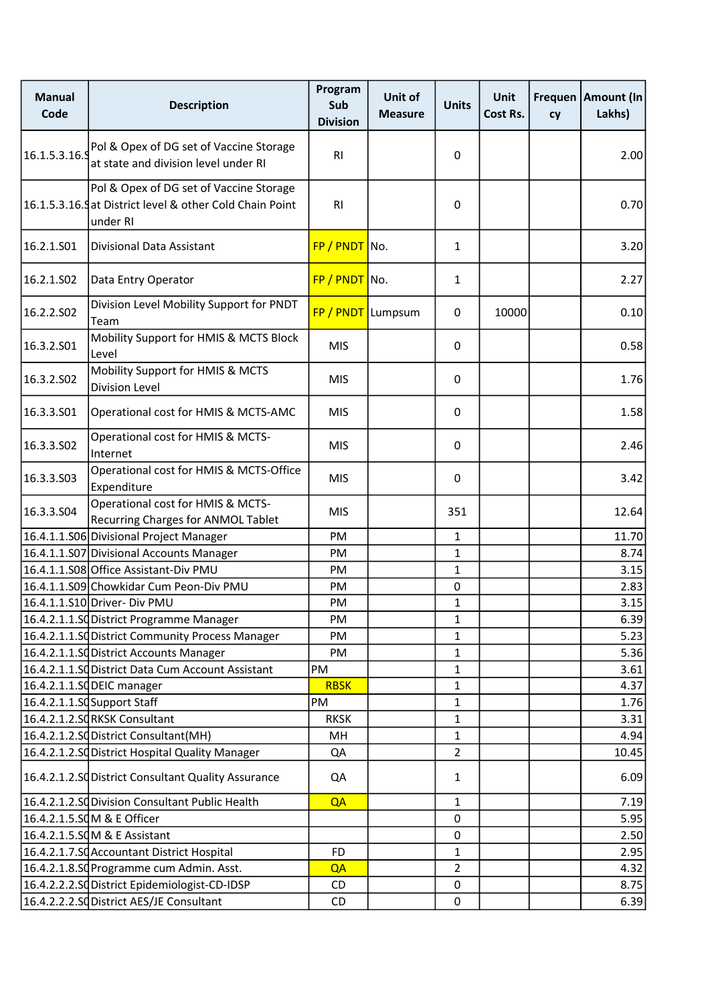| <b>Manual</b><br>Code | <b>Description</b>                                                                                              | Program<br>Sub<br><b>Division</b> | Unit of<br><b>Measure</b> | <b>Units</b>   | <b>Unit</b><br>Cost Rs. | cy | Frequen   Amount (In<br>Lakhs) |
|-----------------------|-----------------------------------------------------------------------------------------------------------------|-----------------------------------|---------------------------|----------------|-------------------------|----|--------------------------------|
| 16.1.5.3.16.9         | Pol & Opex of DG set of Vaccine Storage<br>at state and division level under RI                                 | R <sub>l</sub>                    |                           | 0              |                         |    | 2.00                           |
|                       | Pol & Opex of DG set of Vaccine Storage<br>16.1.5.3.16. Sat District level & other Cold Chain Point<br>under RI | <b>RI</b>                         |                           | 0              |                         |    | 0.70                           |
| 16.2.1.S01            | Divisional Data Assistant                                                                                       | $FP / PNDT$ No.                   |                           | $\mathbf{1}$   |                         |    | 3.20                           |
| 16.2.1.502            | Data Entry Operator                                                                                             | $FP / PNDT$ No.                   |                           | $\mathbf{1}$   |                         |    | 2.27                           |
| 16.2.2.S02            | Division Level Mobility Support for PNDT<br>Team                                                                | FP / PNDT Lumpsum                 |                           | 0              | 10000                   |    | 0.10                           |
| 16.3.2.S01            | Mobility Support for HMIS & MCTS Block<br>Level                                                                 | <b>MIS</b>                        |                           | 0              |                         |    | 0.58                           |
| 16.3.2.S02            | Mobility Support for HMIS & MCTS<br>Division Level                                                              | <b>MIS</b>                        |                           | 0              |                         |    | 1.76                           |
| 16.3.3.501            | Operational cost for HMIS & MCTS-AMC                                                                            | <b>MIS</b>                        |                           | 0              |                         |    | 1.58                           |
| 16.3.3.502            | Operational cost for HMIS & MCTS-<br>Internet                                                                   | <b>MIS</b>                        |                           | 0              |                         |    | 2.46                           |
| 16.3.3.503            | Operational cost for HMIS & MCTS-Office<br>Expenditure                                                          | <b>MIS</b>                        |                           | 0              |                         |    | 3.42                           |
| 16.3.3.504            | Operational cost for HMIS & MCTS-<br>Recurring Charges for ANMOL Tablet                                         | <b>MIS</b>                        |                           | 351            |                         |    | 12.64                          |
|                       | 16.4.1.1.S06 Divisional Project Manager                                                                         | PM                                |                           | $\mathbf 1$    |                         |    | 11.70                          |
|                       | 16.4.1.1.S07 Divisional Accounts Manager                                                                        | PM                                |                           | $\mathbf{1}$   |                         |    | 8.74                           |
|                       | 16.4.1.1.S08 Office Assistant-Div PMU                                                                           | PM                                |                           | 1              |                         |    | 3.15                           |
|                       | 16.4.1.1.S09 Chowkidar Cum Peon-Div PMU                                                                         | PM                                |                           | $\pmb{0}$      |                         |    | 2.83                           |
|                       | 16.4.1.1.S10 Driver- Div PMU                                                                                    | PM                                |                           | 1              |                         |    | 3.15                           |
|                       | 16.4.2.1.1.SQ District Programme Manager                                                                        | PM                                |                           | 1              |                         |    | 6.39                           |
|                       | 16.4.2.1.1.SdDistrict Community Process Manager                                                                 | PM                                |                           | 1              |                         |    | 5.23                           |
|                       | 16.4.2.1.1.SQ District Accounts Manager                                                                         | PM                                |                           | 1              |                         |    | 5.36                           |
|                       | 16.4.2.1.1.SdDistrict Data Cum Account Assistant                                                                | PM                                |                           | $\mathbf{1}$   |                         |    | 3.61                           |
|                       | 16.4.2.1.1.SQDEIC manager                                                                                       | <b>RBSK</b>                       |                           | $\mathbf 1$    |                         |    | 4.37                           |
|                       | 16.4.2.1.1.SQSupport Staff                                                                                      | PM                                |                           | 1              |                         |    | 1.76                           |
|                       | 16.4.2.1.2.SQRKSK Consultant                                                                                    | <b>RKSK</b>                       |                           | 1              |                         |    | 3.31                           |
|                       | 16.4.2.1.2.SQ District Consultant(MH)                                                                           | MH                                |                           | 1              |                         |    | 4.94                           |
|                       | 16.4.2.1.2.Sd District Hospital Quality Manager                                                                 | QA                                |                           | $\overline{2}$ |                         |    | 10.45                          |
|                       | 16.4.2.1.2.SQ District Consultant Quality Assurance                                                             | QA                                |                           | $\mathbf{1}$   |                         |    | 6.09                           |
|                       | 16.4.2.1.2.SQ Division Consultant Public Health                                                                 | QA                                |                           | $\mathbf 1$    |                         |    | 7.19                           |
|                       | 16.4.2.1.5.SQM & E Officer                                                                                      |                                   |                           | 0              |                         |    | 5.95                           |
|                       | 16.4.2.1.5.SQM & E Assistant                                                                                    |                                   |                           | $\mathbf{0}$   |                         |    | 2.50                           |
|                       | 16.4.2.1.7.SC Accountant District Hospital                                                                      | <b>FD</b>                         |                           | 1              |                         |    | 2.95                           |
|                       | 16.4.2.1.8.SQ Programme cum Admin. Asst.                                                                        | QA                                |                           | $\overline{2}$ |                         |    | 4.32                           |
|                       | 16.4.2.2.2.SdDistrict Epidemiologist-CD-IDSP                                                                    | CD                                |                           | 0              |                         |    | 8.75                           |
|                       | 16.4.2.2.2.Sd District AES/JE Consultant                                                                        | CD                                |                           | $\pmb{0}$      |                         |    | 6.39                           |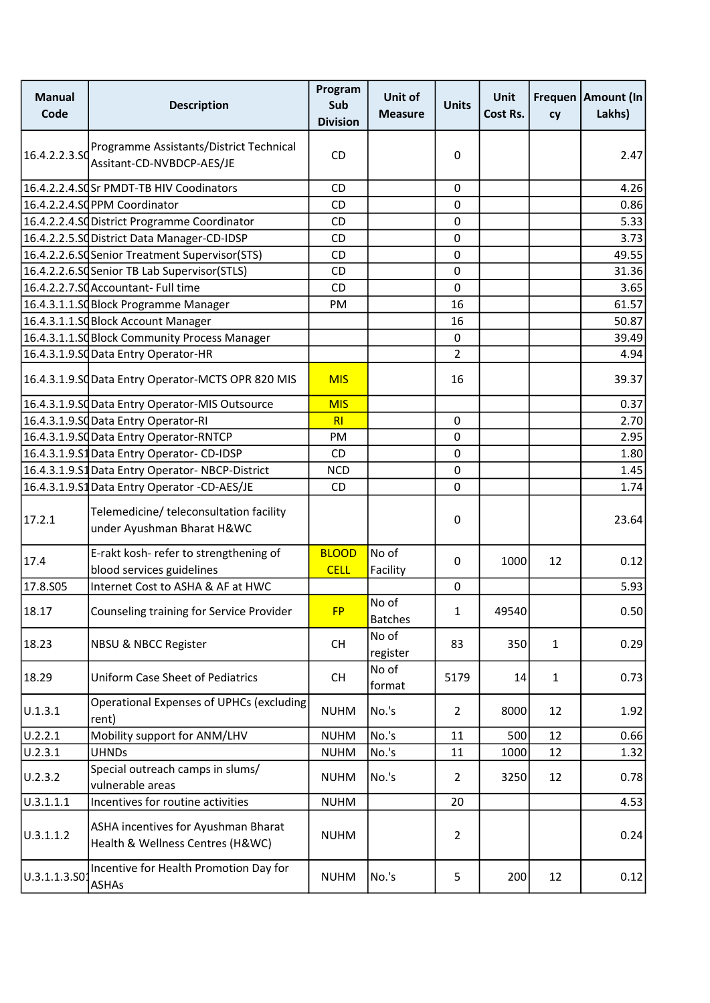| <b>Manual</b><br>Code | <b>Description</b>                                                      | Program<br>Sub<br><b>Division</b> | Unit of<br><b>Measure</b> | <b>Units</b>   | Unit<br>Cost Rs. | Frequen<br>cy | Amount (In<br>Lakhs) |
|-----------------------|-------------------------------------------------------------------------|-----------------------------------|---------------------------|----------------|------------------|---------------|----------------------|
| 16.4.2.2.3.SO         | Programme Assistants/District Technical<br>Assitant-CD-NVBDCP-AES/JE    | <b>CD</b>                         |                           | 0              |                  |               | 2.47                 |
|                       | 16.4.2.2.4.SQSr PMDT-TB HIV Coodinators                                 | <b>CD</b>                         |                           | 0              |                  |               | 4.26                 |
|                       | 16.4.2.2.4.SQPPM Coordinator                                            | <b>CD</b>                         |                           | $\mathbf 0$    |                  |               | 0.86                 |
|                       | 16.4.2.2.4.SdDistrict Programme Coordinator                             | CD                                |                           | $\pmb{0}$      |                  |               | 5.33                 |
|                       | 16.4.2.2.5.SC District Data Manager-CD-IDSP                             | CD                                |                           | 0              |                  |               | 3.73                 |
|                       | 16.4.2.2.6.SC Senior Treatment Supervisor (STS)                         | CD                                |                           | 0              |                  |               | 49.55                |
|                       | 16.4.2.2.6.SQSenior TB Lab Supervisor(STLS)                             | CD                                |                           | $\pmb{0}$      |                  |               | 31.36                |
|                       | 16.4.2.2.7.SCAccountant- Full time                                      | <b>CD</b>                         |                           | 0              |                  |               | 3.65                 |
|                       | 16.4.3.1.1.SQBlock Programme Manager                                    | PM                                |                           | 16             |                  |               | 61.57                |
|                       | 16.4.3.1.1.SQBlock Account Manager                                      |                                   |                           | 16             |                  |               | 50.87                |
|                       | 16.4.3.1.1.SQBlock Community Process Manager                            |                                   |                           | 0              |                  |               | 39.49                |
|                       | 16.4.3.1.9.SC Data Entry Operator-HR                                    |                                   |                           | $\overline{2}$ |                  |               | 4.94                 |
|                       | 16.4.3.1.9.SQData Entry Operator-MCTS OPR 820 MIS                       | <b>MIS</b>                        |                           | 16             |                  |               | 39.37                |
|                       | 16.4.3.1.9.SdData Entry Operator-MIS Outsource                          | <b>MIS</b>                        |                           |                |                  |               | 0.37                 |
|                       | 16.4.3.1.9.SdData Entry Operator-RI                                     | RI                                |                           | 0              |                  |               | 2.70                 |
|                       | 16.4.3.1.9.SC Data Entry Operator-RNTCP                                 | PM                                |                           | 0              |                  |               | 2.95                 |
|                       | 16.4.3.1.9.S1Data Entry Operator- CD-IDSP                               | CD                                |                           | $\pmb{0}$      |                  |               | 1.80                 |
|                       | 16.4.3.1.9.S1Data Entry Operator-NBCP-District                          | <b>NCD</b>                        |                           | $\mathbf 0$    |                  |               | 1.45                 |
|                       | 16.4.3.1.9.S1 Data Entry Operator -CD-AES/JE                            | <b>CD</b>                         |                           | 0              |                  |               | 1.74                 |
| 17.2.1                | Telemedicine/ teleconsultation facility<br>under Ayushman Bharat H&WC   |                                   |                           | 0              |                  |               | 23.64                |
| 17.4                  | E-rakt kosh- refer to strengthening of<br>blood services guidelines     | <b>BLOOD</b><br><b>CELL</b>       | No of<br>Facility         | 0              | 1000             | 12            | 0.12                 |
| 17.8.S05              | Internet Cost to ASHA & AF at HWC                                       |                                   |                           | 0              |                  |               | 5.93                 |
| 18.17                 | Counseling training for Service Provider                                | <b>FP</b>                         | No of<br><b>Batches</b>   | 1              | 49540            |               | 0.50                 |
| 18.23                 | <b>NBSU &amp; NBCC Register</b>                                         | <b>CH</b>                         | No of<br>register         | 83             | 350              | $\mathbf{1}$  | 0.29                 |
| 18.29                 | <b>Uniform Case Sheet of Pediatrics</b>                                 | <b>CH</b>                         | No of<br>format           | 5179           | 14               | $\mathbf{1}$  | 0.73                 |
| U.1.3.1               | Operational Expenses of UPHCs (excluding<br>rent)                       | <b>NUHM</b>                       | No.'s                     | $\overline{2}$ | 8000             | 12            | 1.92                 |
| U.2.2.1               | Mobility support for ANM/LHV                                            | <b>NUHM</b>                       | No.'s                     | 11             | 500              | 12            | 0.66                 |
| U.2.3.1               | <b>UHNDs</b>                                                            | <b>NUHM</b>                       | No.'s                     | 11             | 1000             | 12            | 1.32                 |
| U.2.3.2               | Special outreach camps in slums/<br>vulnerable areas                    | <b>NUHM</b>                       | No.'s                     | $\overline{2}$ | 3250             | 12            | 0.78                 |
| 0.3.1.1.1             | Incentives for routine activities                                       | <b>NUHM</b>                       |                           | 20             |                  |               | 4.53                 |
| U.3.1.1.2             | ASHA incentives for Ayushman Bharat<br>Health & Wellness Centres (H&WC) | <b>NUHM</b>                       |                           | $\overline{2}$ |                  |               | 0.24                 |
| U.3.1.1.3.SO          | Incentive for Health Promotion Day for<br><b>ASHAs</b>                  | <b>NUHM</b>                       | No.'s                     | 5              | 200              | 12            | 0.12                 |